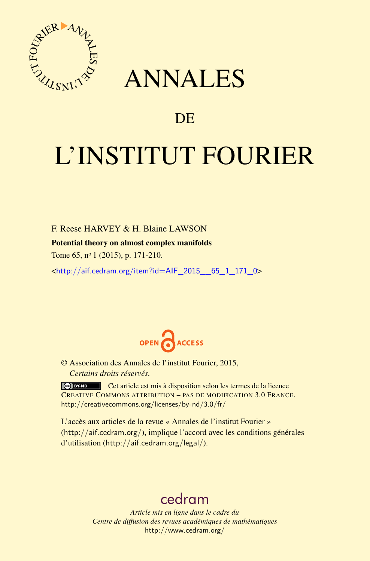

## ANNALES

### **DE**

# L'INSTITUT FOURIER

F. Reese HARVEY & H. Blaine LAWSON

#### Potential theory on almost complex manifolds

Tome 65, nº 1 (2015), p. 171-210.

<[http://aif.cedram.org/item?id=AIF\\_2015\\_\\_65\\_1\\_171\\_0](http://aif.cedram.org/item?id=AIF_2015__65_1_171_0)>



© Association des Annales de l'institut Fourier, 2015, *Certains droits réservés.*

Cet article est mis à disposition selon les termes de la licence CREATIVE COMMONS ATTRIBUTION – PAS DE MODIFICATION 3.0 FRANCE. <http://creativecommons.org/licenses/by-nd/3.0/fr/>

L'accès aux articles de la revue « Annales de l'institut Fourier » (<http://aif.cedram.org/>), implique l'accord avec les conditions générales d'utilisation (<http://aif.cedram.org/legal/>).

## [cedram](http://www.cedram.org/)

*Article mis en ligne dans le cadre du Centre de diffusion des revues académiques de mathématiques* <http://www.cedram.org/>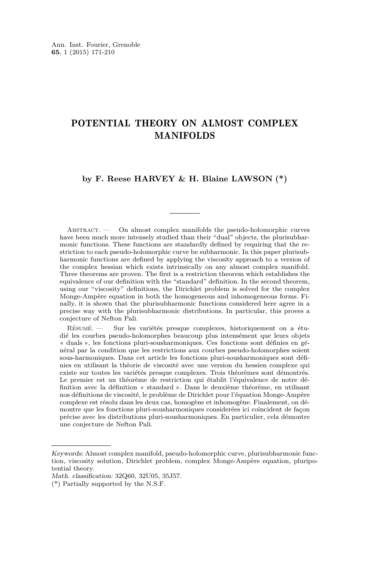#### POTENTIAL THEORY ON ALMOST COMPLEX MANIFOLDS

#### **by F. Reese HARVEY & H. Blaine LAWSON (\*)**

ABSTRACT. — On almost complex manifolds the pseudo-holomorphic curves have been much more intensely studied than their "dual" objects, the plurisubharmonic functions. These functions are standardly defined by requiring that the restriction to each pseudo-holomorphic curve be subharmonic. In this paper plurisubharmonic functions are defined by applying the viscosity approach to a version of the complex hessian which exists intrinsically on any almost complex manifold. Three theorems are proven. The first is a restriction theorem which establishes the equivalence of our definition with the "standard" definition. In the second theorem, using our "viscosity" definitions, the Dirichlet problem is solved for the complex Monge-Ampère equation in both the homogeneous and inhomogeneous forms. Finally, it is shown that the plurisubharmonic functions considered here agree in a precise way with the plurisubharmonic distributions. In particular, this proves a conjecture of Nefton Pali.

Résumé. — Sur les variétés presque complexes, historiquement on a étudié les courbes pseudo-holomorphes beaucoup plus intensément que leurs objets « duals », les fonctions pluri-sousharmoniques. Ces fonctions sont définies en général par la condition que les restrictions aux courbes pseudo-holomorphes soient sous-harmoniques. Dans cet article les fonctions pluri-sousharmoniques sont définies en utilisant la théorie de viscosité avec une version du hessien complexe qui existe sur toutes les variétés presque complexes. Trois théorèmes sont démontrés. Le premier est un théorème de restriction qui établit l'équivalence de notre définition avec la définition « standard ». Dans le deuxième théorème, en utilisant nos définitions de viscosité, le problème de Dirichlet pour l'équation Monge-Ampère complexe est résolu dans les deux cas, homogène et inhomogène. Finalement, on démontre que les fonctions pluri-sousharmoniques considerées ici coïncident de façon précise avec les distributions pluri-sousharmoniques. En particulier, cela démontre une conjecture de Nefton Pali.

Keywords: Almost complex manifold, pseudo-holomorphic curve, plurisubharmonic function, viscosity solution, Dirichlet problem, complex Monge-Ampère equation, pluripotential theory.

Math. classification: 32Q60, 32U05, 35J57.

<sup>(\*)</sup> Partially supported by the N.S.F.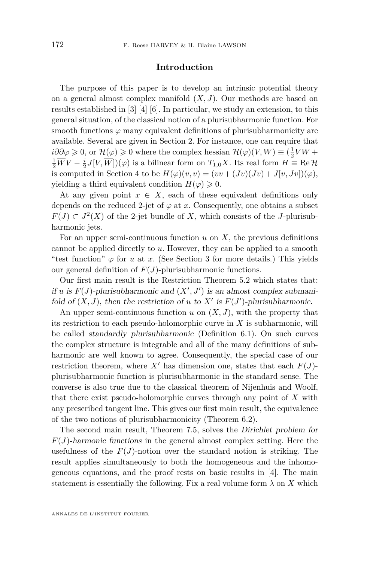#### **Introduction**

The purpose of this paper is to develop an intrinsic potential theory on a general almost complex manifold (*X, J*). Our methods are based on results established in [\[3\]](#page-34-0) [\[4\]](#page-34-0) [\[6\]](#page-34-0). In particular, we study an extension, to this general situation, of the classical notion of a plurisubharmonic function. For smooth functions  $\varphi$  many equivalent definitions of plurisubharmonicity are available. Several are given in Section 2. For instance, one can require that *i∂* $\partial \overline{\partial} \varphi \geq 0$ , or  $\mathcal{H}(\varphi) \geq 0$  where the complex hessian  $\mathcal{H}(\varphi)(V, W) \equiv (\frac{1}{2}V\overline{W} +$  $\frac{1}{2}\overline{W}V - \frac{i}{2}J[V,\overline{W}])(\varphi)$  is a bilinear form on  $T_{1,0}X$ . Its real form  $H \equiv \text{Re } \mathcal{H}$ is computed in Section 4 to be  $H(\varphi)(v, v) = (vv + (Jv)(Jv) + J[v, Jv])(\varphi)$ , yielding a third equivalent condition  $H(\varphi) \geq 0$ .

At any given point  $x \in X$ , each of these equivalent definitions only depends on the reduced 2-jet of  $\varphi$  at *x*. Consequently, one obtains a subset *F*(*J*) ⊂ *J*<sup>2</sup>(*X*) of the 2-jet bundle of *X*, which consists of the *J*-plurisubharmonic jets.

For an upper semi-continuous function  $u$  on  $X$ , the previous definitions cannot be applied directly to *u*. However, they can be applied to a smooth "test function"  $\varphi$  for *u* at *x*. (See Section 3 for more details.) This yields our general definition of *F*(*J*)-plurisubharmonic functions.

Our first main result is the Restriction Theorem [5.2](#page-15-0) which states that: if *u* is  $F(J)$ -plurisubharmonic and  $(X', J')$  is an almost complex submanifold of  $(X, J)$ , then the restriction of *u* to  $X'$  is  $F(J')$ -plurisubharmonic.

An upper semi-continuous function  $u$  on  $(X, J)$ , with the property that its restriction to each pseudo-holomorphic curve in *X* is subharmonic, will be called standardly plurisubharmonic (Definition [6.1\)](#page-17-0). On such curves the complex structure is integrable and all of the many definitions of subharmonic are well known to agree. Consequently, the special case of our restriction theorem, where X' has dimension one, states that each  $F(J)$ plurisubharmonic function is plurisubharmonic in the standard sense. The converse is also true due to the classical theorem of Nijenhuis and Woolf, that there exist pseudo-holomorphic curves through any point of *X* with any prescribed tangent line. This gives our first main result, the equivalence of the two notions of plurisubharmonicity (Theorem [6.2\)](#page-17-0).

The second main result, Theorem [7.5,](#page-21-0) solves the Dirichlet problem for  $F(J)$ -harmonic functions in the general almost complex setting. Here the usefulness of the  $F(J)$ -notion over the standard notion is striking. The result applies simultaneously to both the homogeneous and the inhomogeneous equations, and the proof rests on basic results in [\[4\]](#page-34-0). The main statement is essentially the following. Fix a real volume form  $\lambda$  on  $X$  which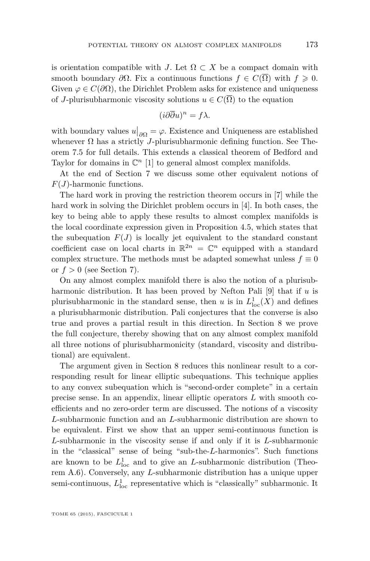is orientation compatible with *J*. Let  $\Omega \subset X$  be a compact domain with smooth boundary  $\partial\Omega$ . Fix a continuous functions  $f \in C(\overline{\Omega})$  with  $f \geq 0$ . Given  $\varphi \in C(\partial \Omega)$ , the Dirichlet Problem asks for existence and uniqueness of *J*-plurisubharmonic viscosity solutions  $u \in C(\overline{\Omega})$  to the equation

$$
(i\partial\overline{\partial}u)^n = f\lambda.
$$

with boundary values  $u|_{\partial\Omega} = \varphi$ . Existence and Uniqueness are established whenever  $\Omega$  has a strictly *J*-plurisubharmonic defining function. See Theorem [7.5](#page-21-0) for full details. This extends a classical theorem of Bedford and Taylor for domains in  $\mathbb{C}^n$  [\[1\]](#page-34-0) to general almost complex manifolds.

At the end of Section [7](#page-19-0) we discuss some other equivalent notions of *F*(*J*)-harmonic functions.

The hard work in proving the restriction theorem occurs in [\[7\]](#page-34-0) while the hard work in solving the Dirichlet problem occurs in [\[4\]](#page-34-0). In both cases, the key to being able to apply these results to almost complex manifolds is the local coordinate expression given in Proposition [4.5,](#page-14-0) which states that the subequation  $F(J)$  is locally jet equivalent to the standard constant coefficient case on local charts in  $\mathbb{R}^{2n} = \mathbb{C}^n$  equipped with a standard complex structure. The methods must be adapted somewhat unless  $f \equiv 0$ or  $f > 0$  (see Section [7\)](#page-19-0).

On any almost complex manifold there is also the notion of a plurisubharmonic distribution. It has been proved by Nefton Pali [\[9\]](#page-34-0) that if *u* is plurisubharmonic in the standard sense, then *u* is in  $L^1_{loc}(X)$  and defines a plurisubharmonic distribution. Pali conjectures that the converse is also true and proves a partial result in this direction. In Section 8 we prove the full conjecture, thereby showing that on any almost complex manifold all three notions of plurisubharmonicity (standard, viscosity and distributional) are equivalent.

The argument given in Section [8](#page-26-0) reduces this nonlinear result to a corresponding result for linear elliptic subequations. This technique applies to any convex subequation which is "second-order complete" in a certain precise sense. In an appendix, linear elliptic operators *L* with smooth coefficients and no zero-order term are discussed. The notions of a viscosity *L*-subharmonic function and an *L*-subharmonic distribution are shown to be equivalent. First we show that an upper semi-continuous function is *L*-subharmonic in the viscosity sense if and only if it is *L*-subharmonic in the "classical" sense of being "sub-the-*L*-harmonics". Such functions are known to be  $L^1_{\text{loc}}$  and to give an *L*-subharmonic distribution (Theorem [A.6\)](#page-36-0). Conversely, any *L*-subharmonic distribution has a unique upper semi-continuous,  $L^1_{\text{loc}}$  representative which is "classically" subharmonic. It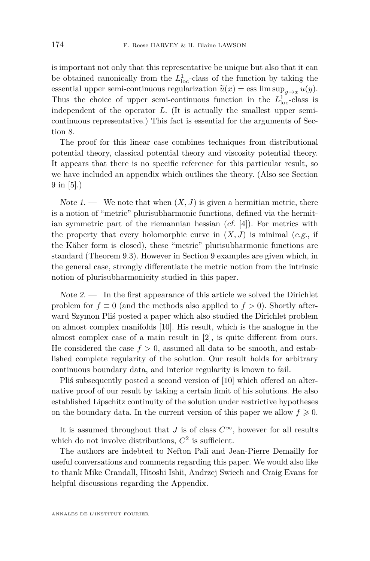is important not only that this representative be unique but also that it can be obtained canonically from the  $L<sup>1</sup><sub>loc</sub>$ -class of the function by taking the essential upper semi-continuous regularization  $\tilde{u}(x) = \text{ess lim sup}_{y \to x} u(y)$ . Thus the choice of upper semi-continuous function in the  $L<sup>1</sup><sub>loc</sub>$ -class is independent of the operator *L*. (It is actually the smallest upper semicontinuous representative.) This fact is essential for the arguments of Section [8.](#page-26-0)

The proof for this linear case combines techniques from distributional potential theory, classical potential theory and viscosity potential theory. It appears that there is no specific reference for this particular result, so we have included an appendix which outlines the theory. (Also see Section 9 in [\[5\]](#page-34-0).)

Note 1. — We note that when  $(X, J)$  is given a hermitian metric, there is a notion of "metric" plurisubharmonic functions, defined via the hermitian symmetric part of the riemannian hessian (cf. [\[4\]](#page-34-0)). For metrics with the property that every holomorphic curve in  $(X, J)$  is minimal (e.g., if the Käher form is closed), these "metric" plurisubharmonic functions are standard (Theorem [9.3\)](#page-30-0). However in Section [9](#page-29-0) examples are given which, in the general case, strongly differentiate the metric notion from the intrinsic notion of plurisubharmonicity studied in this paper.

 $Note 2.$  — In the first appearance of this article we solved the Dirichlet problem for  $f \equiv 0$  (and the methods also applied to  $f > 0$ ). Shortly afterward Szymon Pliś posted a paper which also studied the Dirichlet problem on almost complex manifolds [\[10\]](#page-34-0). His result, which is the analogue in the almost complex case of a main result in [\[2\]](#page-34-0), is quite different from ours. He considered the case  $f > 0$ , assumed all data to be smooth, and established complete regularity of the solution. Our result holds for arbitrary continuous boundary data, and interior regularity is known to fail.

Pliś subsequently posted a second version of [\[10\]](#page-34-0) which offered an alternative proof of our result by taking a certain limit of his solutions. He also established Lipschitz continuity of the solution under restrictive hypotheses on the boundary data. In the current version of this paper we allow  $f \geq 0$ .

It is assumed throughout that *J* is of class  $C^{\infty}$ , however for all results which do not involve distributions,  $C^2$  is sufficient.

The authors are indebted to Nefton Pali and Jean-Pierre Demailly for useful conversations and comments regarding this paper. We would also like to thank Mike Crandall, Hitoshi Ishii, Andrzej Swiech and Craig Evans for helpful discussions regarding the Appendix.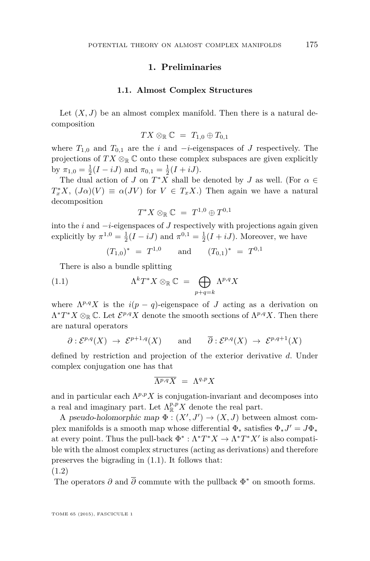#### **1. Preliminaries**

#### **1.1. Almost Complex Structures**

<span id="page-5-0"></span>Let  $(X, J)$  be an almost complex manifold. Then there is a natural decomposition

$$
TX \otimes_{\mathbb{R}} \mathbb{C} = T_{1,0} \oplus T_{0,1}
$$

where  $T_{1,0}$  and  $T_{0,1}$  are the *i* and  $-i$ -eigenspaces of *J* respectively. The projections of  $TX \otimes_{\mathbb{R}} \mathbb{C}$  onto these complex subspaces are given explicitly by  $\pi_{1,0} = \frac{1}{2}(I - iJ)$  and  $\pi_{0,1} = \frac{1}{2}(I + iJ)$ .

The dual action of *J* on  $T^*X$  shall be denoted by *J* as well. (For  $\alpha \in$  $T_x^* X$ ,  $(J\alpha)(V) \equiv \alpha(JV)$  for  $V \in T_x X$ .) Then again we have a natural decomposition

$$
T^*X\otimes_{\mathbb R}{\mathbb C}~=~T^{1,0}\oplus T^{0,1}
$$

into the *i* and −*i*-eigenspaces of *J* respectively with projections again given explicitly by  $\pi^{1,0} = \frac{1}{2}(I - iJ)$  and  $\pi^{0,1} = \frac{1}{2}(I + iJ)$ . Moreover, we have

$$
(T_{1,0})^* = T^{1,0}
$$
 and  $(T_{0,1})^* = T^{0,1}$ 

There is also a bundle splitting

(1.1) 
$$
\Lambda^k T^* X \otimes_{\mathbb{R}} \mathbb{C} = \bigoplus_{p+q=k} \Lambda^{p,q} X
$$

where  $\Lambda^{p,q} X$  is the  $i(p - q)$ -eigenspace of *J* acting as a derivation on  $\Lambda^* T^* X \otimes_{\mathbb{R}} \mathbb{C}$ . Let  $\mathcal{E}^{p,q} X$  denote the smooth sections of  $\Lambda^{p,q} X$ . Then there are natural operators

$$
\partial: \mathcal{E}^{p,q}(X) \to \mathcal{E}^{p+1,q}(X) \quad \text{and} \quad \overline{\partial}: \mathcal{E}^{p,q}(X) \to \mathcal{E}^{p,q+1}(X)
$$

defined by restriction and projection of the exterior derivative *d*. Under complex conjugation one has that

$$
\overline{\Lambda^{p,q}X} \;=\; \Lambda^{q,p}X
$$

and in particular each  $\Lambda^{p,p} X$  is conjugation-invariant and decomposes into a real and imaginary part. Let  $\Lambda_{\mathbb{R}}^{p,p} X$  denote the real part.

A pseudo-holomorphic map  $\Phi : (X', J') \to (X, J)$  between almost complex manifolds is a smooth map whose differential  $\Phi_*$  satisfies  $\Phi_* J' = J \Phi_*$ at every point. Thus the pull-back  $\Phi^* : \Lambda^* T^* X \to \Lambda^* T^* X'$  is also compatible with the almost complex structures (acting as derivations) and therefore preserves the bigrading in (1.1). It follows that:

(1.2)

The operators  $\partial$  and  $\overline{\partial}$  commute with the pullback  $\Phi^*$  on smooth forms.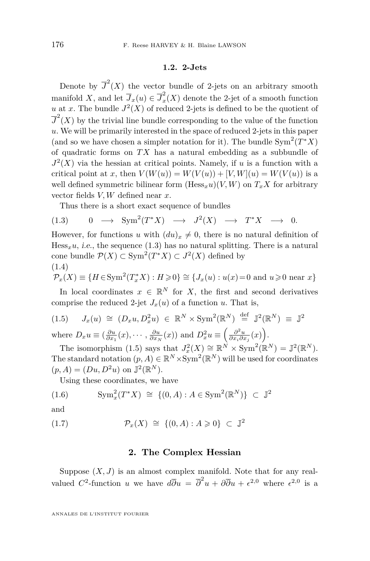#### **1.2. 2-Jets**

<span id="page-6-0"></span>Denote by  $\overline{J}^2(X)$  the vector bundle of 2-jets on an arbitrary smooth manifold *X*, and let  $\overline{J}_x(u) \in \overline{J}_x^2$  $\tilde{f}_x(X)$  denote the 2-jet of a smooth function *u* at *x*. The bundle  $J^2(X)$  of reduced 2-jets is defined to be the quotient of  $\overline{J}^2(X)$  by the trivial line bundle corresponding to the value of the function *u*. We will be primarily interested in the space of reduced 2-jets in this paper (and so we have chosen a simpler notation for it). The bundle  $Sym^2(T^*X)$ of quadratic forms on *T X* has a natural embedding as a subbundle of  $J^2(X)$  via the hessian at critical points. Namely, if *u* is a function with a critical point at *x*, then  $V(W(u)) = W(V(u)) + [V, W](u) = W(V(u))$  is a well defined symmetric bilinear form  $(Hess<sub>x</sub>u)(V, W)$  on  $T<sub>x</sub>X$  for arbitrary vector fields *V, W* defined near *x*.

Thus there is a short exact sequence of bundles

$$
(1.3) \t 0 \t \to \mathrm{Sym}^2(T^*X) \t \to J^2(X) \t \to T^*X \t \to 0.
$$

However, for functions *u* with  $(du)_x \neq 0$ , there is no natural definition of  $Hess_xu$ , *i.e.*, the sequence (1.3) has no natural splitting. There is a natural cone bundle  $\mathcal{P}(X) \subset \text{Sym}^2(T^*X) \subset J^2(X)$  defined by (1.4)

$$
\mathcal{P}_x(X) \equiv \{ H \in \mathrm{Sym}^2(T_x^*X) : H \geq 0 \} \cong \{ J_x(u) : u(x) = 0 \text{ and } u \geq 0 \text{ near } x \}
$$

In local coordinates  $x \in \mathbb{R}^N$  for *X*, the first and second derivatives comprise the reduced 2-jet  $J_x(u)$  of a function *u*. That is,

(1.5) 
$$
J_x(u) \cong (D_x u, D_x^2 u) \in \mathbb{R}^N \times \text{Sym}^2(\mathbb{R}^N) \stackrel{\text{def}}{=} \mathbb{J}^2(\mathbb{R}^N) \equiv \mathbb{J}^2
$$
  
where  $D_x u \equiv (\frac{\partial u}{\partial x_1}(x), \cdots, \frac{\partial u}{\partial x_N}(x))$  and  $D_x^2 u \equiv (\frac{\partial^2 u}{\partial x_i \partial x_j}(x))$ .

The isomorphism (1.5) says that  $J_x^2(X) \cong \mathbb{R}^N \times \text{Sym}^2(\mathbb{R}^N) = \mathbb{J}^2(\mathbb{R}^N)$ . The standard notation  $(p, A) \in \mathbb{R}^N \times \text{Sym}^2(\mathbb{R}^N)$  will be used for coordinates  $(p, A) = (Du, D^2u)$  on  $\mathbb{J}^2(\mathbb{R}^N)$ .

Using these coordinates, we have

(1.6) 
$$
\text{Sym}^2_x(T^*X) \cong \{(0, A) : A \in \text{Sym}^2(\mathbb{R}^N)\} \subset \mathbb{J}^2
$$

and

$$
(1.7) \qquad \qquad \mathcal{P}_x(X) \cong \{(0, A) : A \geq 0\} \subset \mathbb{J}^2
$$

#### **2. The Complex Hessian**

Suppose  $(X, J)$  is an almost complex manifold. Note that for any realvalued C<sup>2</sup>-function *u* we have  $d\overline{\partial}u = \overline{\partial}^2 u + \partial \overline{\partial}u + \epsilon^{2,0}$  where  $\epsilon^{2,0}$  is a

ANNALES DE L'INSTITUT FOURIER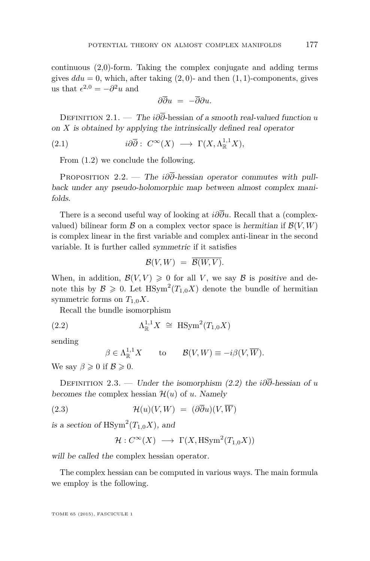<span id="page-7-0"></span>continuous (2,0)-form. Taking the complex conjugate and adding terms gives  $ddu = 0$ , which, after taking  $(2, 0)$ - and then  $(1, 1)$ -components, gives us that  $\epsilon^{2,0} = -\partial^2 u$  and

$$
\partial\overline{\partial} u = -\overline{\partial}\partial u.
$$

Definition 2.1. — The *i∂∂*-hessian of a smooth real-valued function *u* on *X* is obtained by applying the intrinsically defined real operator

(2.1) 
$$
i\partial\overline{\partial}: C^{\infty}(X) \longrightarrow \Gamma(X, \Lambda^{1,1}_{\mathbb{R}}X),
$$

From [\(1.2\)](#page-5-0) we conclude the following.

PROPOSITION 2.2. — The *i∂* $\overline{\partial}$ -hessian operator commutes with pullback under any pseudo-holomorphic map between almost complex manifolds.

There is a second useful way of looking at *i∂∂u*. Recall that a (complexvalued) bilinear form  $\beta$  on a complex vector space is hermitian if  $\mathcal{B}(V,W)$ is complex linear in the first variable and complex anti-linear in the second variable. It is further called symmetric if it satisfies

$$
\mathcal{B}(V,W) = \overline{\mathcal{B}(W,V)}.
$$

When, in addition,  $\mathcal{B}(V, V) \geq 0$  for all *V*, we say  $\mathcal{B}$  is positive and denote this by  $\mathcal{B} \geq 0$ . Let  $H\text{Sym}^2(T_{1,0}X)$  denote the bundle of hermitian symmetric forms on  $T_{1,0}X$ .

Recall the bundle isomorphism

$$
(2.2) \quad \Lambda_{\mathbb{R}}^{1,1} X \cong \text{HSym}^2(T_{1,0}X)
$$

sending

$$
\beta \in \Lambda^{1,1}_{\mathbb{R}}X \quad \text{to} \quad \mathcal{B}(V,W) \equiv -i\beta(V,\overline{W}).
$$

We say  $\beta \geqslant 0$  if  $\mathcal{B} \geqslant 0$ .

Definition 2.3. — Under the isomorphism (2.2) the *i∂∂*-hessian of *u* becomes the complex hessian  $\mathcal{H}(u)$  of *u*. Namely

(2.3) 
$$
\mathcal{H}(u)(V,W) = (\partial \overline{\partial} u)(V,\overline{W})
$$

is a section of  $\text{HSym}^2(T_{1,0}X)$ , and

$$
\mathcal{H}: C^{\infty}(X) \longrightarrow \Gamma(X, \text{HSym}^2(T_{1,0}X))
$$

will be called the complex hessian operator.

The complex hessian can be computed in various ways. The main formula we employ is the following.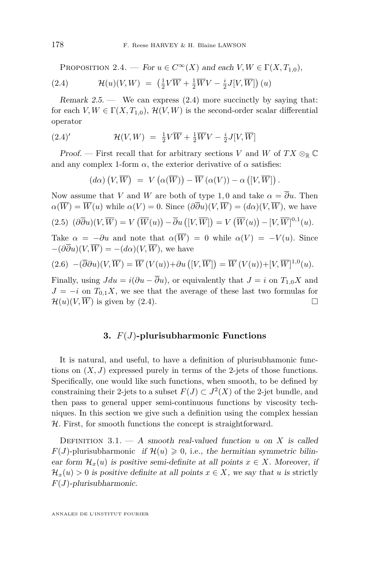<span id="page-8-0"></span>PROPOSITION 2.4. — For  $u \in C^{\infty}(X)$  and each  $V, W \in \Gamma(X, T_{1,0}),$ (2.4)  $\mathcal{H}(u)(V, W) = \left(\frac{1}{2}V\overline{W} + \frac{1}{2}\overline{W}V - \frac{i}{2}J[V,\overline{W}]\right)(u)$ 

Remark  $2.5$  — We can express  $(2.4)$  more succinctly by saying that: for each  $V, W \in \Gamma(X, T_{1,0}), \mathcal{H}(V, W)$  is the second-order scalar differential operator

(2.4)' 
$$
\mathcal{H}(V,W) = \frac{1}{2}V\overline{W} + \frac{1}{2}\overline{W}V - \frac{i}{2}J[V,\overline{W}]
$$

Proof. — First recall that for arbitrary sections *V* and *W* of  $TX \otimes_{\mathbb{R}} \mathbb{C}$ and any complex 1-form  $\alpha$ , the exterior derivative of  $\alpha$  satisfies:

$$
(d\alpha) (V, \overline{W}) = V (\alpha(\overline{W})) - \overline{W} (\alpha(V)) - \alpha ([V, \overline{W}]).
$$

Now assume that *V* and *W* are both of type 1,0 and take  $\alpha = \overline{\partial}u$ . Then  $\alpha(\overline{W}) = \overline{W}(u)$  while  $\alpha(V) = 0$ . Since  $(\partial \overline{\partial}u)(V, \overline{W}) = (d\alpha)(V, \overline{W})$ , we have

$$
(2.5) \ (\partial \overline{\partial} u)(V, \overline{W}) = V(\overline{W}(u)) - \overline{\partial} u([\overline{V}, \overline{W}]) = V(\overline{W}(u)) - [V, \overline{W}]^{0,1}(u).
$$

Take  $\alpha = -\partial u$  and note that  $\alpha(\overline{W}) = 0$  while  $\alpha(V) = -V(u)$ . Since  $-(\partial \overline{\partial} u)(V, \overline{W}) = -(d\alpha)(V, \overline{W})$ , we have

$$
(2.6) \quad -(\overline{\partial}\partial u)(V,\overline{W}) = \overline{W}(V(u)) + \partial u([V,\overline{W}]) = \overline{W}(V(u)) + [V,\overline{W}]^{1,0}(u).
$$

Finally, using  $Jdu = i(\partial u - \overline{\partial}u)$ , or equivalently that  $J = i$  on  $T_{1,0}X$  and  $J = -i$  on  $T_{0,1}X$ , we see that the average of these last two formulas for  $\mathcal{H}(u)(V, \overline{W})$  is given by (2.4).

#### **3.** *F*(*J*)**-plurisubharmonic Functions**

It is natural, and useful, to have a definition of plurisubhamonic functions on  $(X, J)$  expressed purely in terms of the 2-jets of those functions. Specifically, one would like such functions, when smooth, to be defined by constraining their 2-jets to a subset  $F(J) \subset J^2(X)$  of the 2-jet bundle, and then pass to general upper semi-continuous functions by viscosity techniques. In this section we give such a definition using the complex hessian H. First, for smooth functions the concept is straightforward.

DEFINITION  $3.1. - A$  smooth real-valued function *u* on *X* is called  $F(J)$ -plurisubharmonic if  $\mathcal{H}(u) \geq 0$ , i.e., the hermitian symmetric bilinear form  $\mathcal{H}_x(u)$  is positive semi-definite at all points  $x \in X$ . Moreover, if  $\mathcal{H}_x(u) > 0$  is positive definite at all points  $x \in X$ , we say that *u* is strictly *F*(*J*)-plurisubharmonic.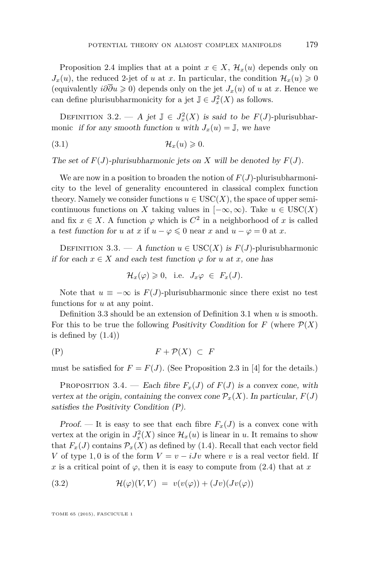<span id="page-9-0"></span>Proposition [2.4](#page-8-0) implies that at a point  $x \in X$ ,  $\mathcal{H}_x(u)$  depends only on  $J_x(u)$ , the reduced 2-jet of *u* at *x*. In particular, the condition  $\mathcal{H}_x(u) \geq 0$ (equivalently  $i\partial\overline{\partial}u \geq 0$ ) depends only on the jet  $J_x(u)$  of *u* at *x*. Hence we can define plurisubharmonicity for a jet  $\mathbb{J} \in J_x^2(X)$  as follows.

DEFINITION 3.2. — A jet  $\mathbb{J} \in J_x^2(X)$  is said to be  $F(J)$ -plurisubharmonic if for any smooth function *u* with  $J_x(u) = J$ , we have

$$
(3.1) \t\t\t\t\mathcal{H}_x(u) \geq 0.
$$

The set of  $F(J)$ -plurisubharmonic jets on *X* will be denoted by  $F(J)$ .

We are now in a position to broaden the notion of  $F(J)$ -plurisubharmonicity to the level of generality encountered in classical complex function theory. Namely we consider functions  $u \in \text{USC}(X)$ , the space of upper semicontinuous functions on *X* taking values in  $[-\infty, \infty)$ . Take  $u \in USC(X)$ and fix  $x \in X$ . A function  $\varphi$  which is  $C^2$  in a neighborhood of x is called a test function for *u* at *x* if  $u - \varphi \leq 0$  near *x* and  $u - \varphi = 0$  at *x*.

DEFINITION 3.3. — A function  $u \in USC(X)$  is  $F(J)$ -plurisubharmonic if for each  $x \in X$  and each test function  $\varphi$  for *u* at *x*, one has

$$
\mathcal{H}_x(\varphi) \geqslant 0, \quad \text{i.e.} \quad J_x \varphi \ \in \ F_x(J).
$$

Note that  $u \equiv -\infty$  is  $F(J)$ -plurisubharmonic since there exist no test functions for *u* at any point.

Definition 3.3 should be an extension of Definition [3.1](#page-8-0) when *u* is smooth. For this to be true the following *Positivity Condition* for *F* (where  $\mathcal{P}(X)$ ) is defined by  $(1.4)$ 

$$
(P) \tF + \mathcal{P}(X) \subset F
$$

must be satisfied for  $F = F(J)$ . (See Proposition 2.3 in [\[4\]](#page-34-0) for the details.)

PROPOSITION 3.4. — Each fibre  $F_x(J)$  of  $F(J)$  is a convex cone, with vertex at the origin, containing the convex cone  $\mathcal{P}_x(X)$ . In particular,  $F(J)$ satisfies the Positivity Condition (P).

Proof. — It is easy to see that each fibre  $F_x(J)$  is a convex cone with vertex at the origin in  $J_x^2(X)$  since  $\mathcal{H}_x(u)$  is linear in *u*. It remains to show that  $F_x(J)$  contains  $\mathcal{P}_x(X)$  as defined by (1.4). Recall that each vector field *V* of type 1,0 is of the form  $V = v - iJv$  where *v* is a real vector field. If *x* is a critical point of  $\varphi$ , then it is easy to compute from (2.4) that at *x* 

(3.2) 
$$
\mathcal{H}(\varphi)(V,V) = v(v(\varphi)) + (Jv)(Jv(\varphi))
$$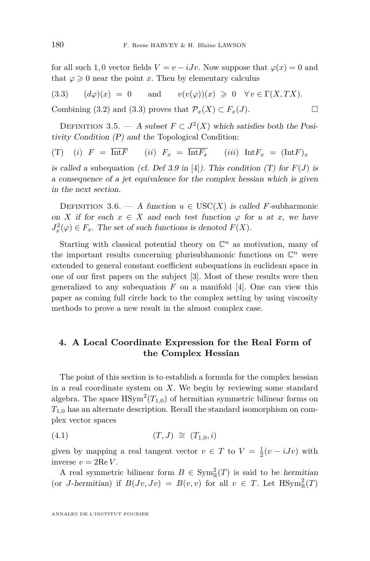<span id="page-10-0"></span>for all such 1,0 vector fields  $V = v - iJv$ . Now suppose that  $\varphi(x) = 0$  and that  $\varphi \geqslant 0$  near the point *x*. Then by elementary calculus

(3.3) 
$$
(d\varphi)(x) = 0
$$
 and  $v(v(\varphi))(x) \ge 0 \quad \forall v \in \Gamma(X,TX)$ .

Combining [\(3.2\)](#page-9-0) and (3.3) proves that  $\mathcal{P}_x(X) \subset F_x(J)$ .

DEFINITION 3.5. — A subset  $F \subset J^2(X)$  which satisfies both the Positivity Condition [\(P\)](#page-9-0) and the Topological Condition:

(T) (*i*)  $F = \overline{\text{Int}F}$  (*ii*)  $F_x = \overline{\text{Int}F_x}$  (*iii*)  $\text{Int}F_x = (\text{Int}F)_x$ 

is called a subequation (cf. Def 3.9 in [\[4\]](#page-34-0)). This condition  $(T)$  for  $F(J)$  is a consequence of a jet equivalence for the complex hessian which is given in the next section.

DEFINITION 3.6. — A function  $u \in \text{USC}(X)$  is called *F*-subharmonic on *X* if for each  $x \in X$  and each test function  $\varphi$  for *u* at *x*, we have  $J_x^2(\varphi) \in F_x$ . The set of such functions is denoted  $F(X)$ .

Starting with classical potential theory on  $\mathbb{C}^n$  as motivation, many of the important results concerning plurisubhamonic functions on  $\mathbb{C}^n$  were extended to general constant coefficient subequations in euclidean space in one of our first papers on the subject [\[3\]](#page-34-0). Most of these results were then generalized to any subequation  $F$  on a manifold [\[4\]](#page-34-0). One can view this paper as coming full circle back to the complex setting by using viscosity methods to prove a new result in the almost complex case.

#### **4. A Local Coordinate Expression for the Real Form of the Complex Hessian**

The point of this section is to establish a formula for the complex hessian in a real coordinate system on *X*. We begin by reviewing some standard algebra. The space  $\text{HSym}^2(T_{1,0})$  of hermitian symmetric bilinear forms on *T*1*,*<sup>0</sup> has an alternate description. Recall the standard isomorphism on complex vector spaces

(4.1) 
$$
(T,J) \cong (T_{1,0},i)
$$

given by mapping a real tangent vector  $v \in T$  to  $V = \frac{1}{2}(v - iJv)$  with inverse  $v = 2 \text{Re } V$ .

A real symmetric bilinear form  $B \in \text{Sym}_{\mathbb{R}}^2(T)$  is said to be *hermitian* (or *J*-hermitian) if  $B(Jv, Jv) = B(v, v)$  for all  $v \in T$ . Let  $H\text{Sym}_{\mathbb{R}}^2(T)$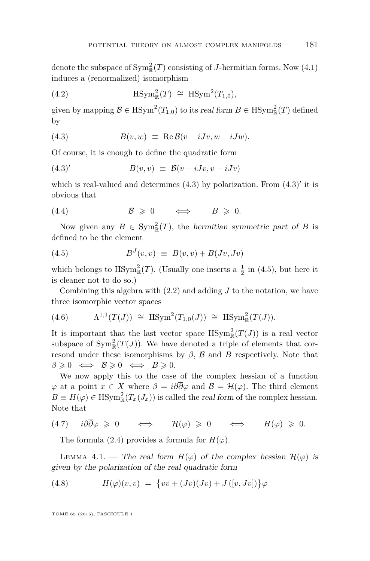<span id="page-11-0"></span>denote the subspace of  $\text{Sym}^2_{\mathbb{R}}(T)$  consisting of *J*-hermitian forms. Now [\(4.1\)](#page-10-0) induces a (renormalized) isomorphism

(4.2) 
$$
\text{HSym}_{\mathbb{R}}^2(T) \cong \text{HSym}^2(T_{1,0}),
$$

given by mapping  $\mathcal{B} \in \text{HSym}^2(T_{1,0})$  to its real form  $B \in \text{HSym}_{\mathbb{R}}^2(T)$  defined by

(4.3) 
$$
B(v, w) \equiv \text{Re } B(v - iJv, w - iJw).
$$

Of course, it is enough to define the quadratic form

$$
(4.3)'\qquad \qquad B(v,v) \equiv \mathcal{B}(v-iJv,v-iJv)
$$

which is real-valued and determines  $(4.3)$  by polarization. From  $(4.3)'$  it is obvious that

(4.4) B > 0 ⇐⇒ *B* > 0*.*

Now given any  $B \in Sym_{\mathbb{R}}^2(T)$ , the hermitian symmetric part of *B* is defined to be the element

$$
(4.5) \t\t BJ(v,v) \equiv B(v,v) + B(Jv,Jv)
$$

which belongs to  $\text{HSym}_{\mathbb{R}}^2(T)$ . (Usually one inserts a  $\frac{1}{2}$  in (4.5), but here it is cleaner not to do so.)

Combining this algebra with [\(2.2\)](#page-7-0) and adding *J* to the notation, we have three isomorphic vector spaces

(4.6) 
$$
\Lambda^{1,1}(T(J)) \cong \text{HSym}^2(T_{1,0}(J)) \cong \text{HSym}^2_{\mathbb{R}}(T(J)).
$$

It is important that the last vector space  $\operatorname{HSym}_{\mathbb{R}}^2(T(J))$  is a real vector subspace of  $Sym^2_{\mathbb{R}}(T(J))$ . We have denoted a triple of elements that corresond under these isomorphisms by  $\beta$ ,  $\beta$  and  $\beta$  respectively. Note that  $\beta \geqslant 0 \iff \mathcal{B} \geqslant 0 \iff \mathcal{B} \geqslant 0.$ 

We now apply this to the case of the complex hessian of a function  $\varphi$  at a point  $x \in X$  where  $\beta = i\partial \overline{\partial}\varphi$  and  $\mathcal{B} = \mathcal{H}(\varphi)$ . The third element  $B \equiv H(\varphi) \in \text{HSym}^2_{\mathbb{R}}(T_x(J_x))$  is called the real form of the complex hessian. Note that

$$
(4.7) \quad i \partial \overline{\partial} \varphi \geqslant 0 \quad \iff \quad \mathcal{H}(\varphi) \geqslant 0 \quad \iff \quad H(\varphi) \geqslant 0.
$$

The formula [\(2.4\)](#page-8-0) provides a formula for  $H(\varphi)$ .

LEMMA 4.1. — The real form  $H(\varphi)$  of the complex hessian  $\mathcal{H}(\varphi)$  is given by the polarization of the real quadratic form

(4.8) 
$$
H(\varphi)(v,v) = \{vv + (Jv)(Jv) + J([v,Jv])\}\varphi
$$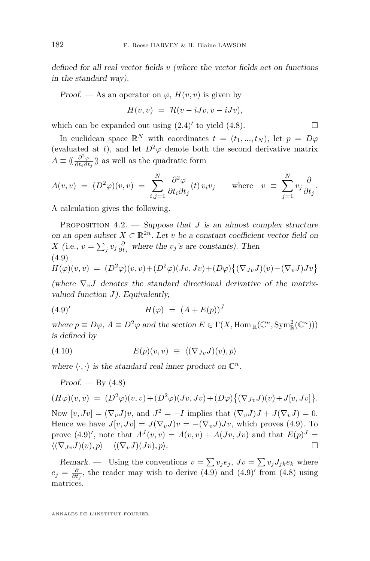<span id="page-12-0"></span>defined for all real vector fields *v* (where the vector fields act on functions in the standard way).

Proof. — As an operator on  $\varphi$ ,  $H(v, v)$  is given by

$$
H(v,v) = \mathcal{H}(v - iJv, v - iJv),
$$

which can be expanded out using  $(2.4)'$  $(2.4)'$  to yield  $(4.8)$ .

In euclidean space  $\mathbb{R}^N$  with coordinates  $t = (t_1, ..., t_N)$ , let  $p = D\varphi$ (evaluated at *t*), and let  $D^2\varphi$  denote both the second derivative matrix  $A \equiv \left(\frac{\partial^2 \varphi}{\partial t_i \partial t_j}\right)$  $\frac{\partial \varphi}{\partial t_i \partial t_j}$ ) as well as the quadratic form

$$
A(v,v) = (D^2 \varphi)(v,v) = \sum_{i,j=1}^N \frac{\partial^2 \varphi}{\partial t_i \partial t_j}(t) v_i v_j \quad \text{where} \quad v \equiv \sum_{j=1}^N v_j \frac{\partial}{\partial t_j}.
$$

A calculation gives the following.

PROPOSITION  $4.2.$  — Suppose that *J* is an almost complex structure on an open subset  $X \subset \mathbb{R}^{2n}$ . Let *v* be a constant coefficient vector field on *X* (i.e.,  $v = \sum_j v_j \frac{\partial}{\partial t_j}$  where the *v<sub>j</sub>*'s are constants). Then (4.9)  $H(\varphi)(v, v) = (D^2\varphi)(v, v) + (D^2\varphi)(Jv, Jv) + (D\varphi)\{(\nabla_{Jv}J)(v) - (\nabla_{v}J)Jv\}$ 

(where  $\nabla_v J$  denotes the standard directional derivative of the matrixvalued function *J*). Equivalently,

(4.9)' 
$$
H(\varphi) = (A + E(p))^J
$$

where  $p \equiv D\varphi$ ,  $A \equiv D^2\varphi$  and the section  $E \in \Gamma(X, \text{Hom}_{\mathbb{R}}(\mathbb{C}^n, \text{Sym}_{\mathbb{R}}^2(\mathbb{C}^n)))$ is defined by

$$
(4.10) \t E(p)(v,v) \equiv \langle (\nabla_{Jv} J)(v), p \rangle
$$

where  $\langle \cdot, \cdot \rangle$  is the standard real inner product on  $\mathbb{C}^n$ .

$$
Proof. - By (4.8)
$$

$$
(H\varphi)(v,v) = (D^2\varphi)(v,v) + (D^2\varphi)(Jv,Jv) + (D\varphi)\{(\nabla_{Jv}J)(v) + J[v,Jv]\}.
$$

Now  $[v, Jv] = (\nabla_v J)v$ , and  $J^2 = -I$  implies that  $(\nabla_v J)J + J(\nabla_v J) = 0$ . Hence we have  $J[v, Jv] = J(\nabla_v J)v = -(\nabla_v J)Jv$ , which proves (4.9). To prove  $(4.9)'$ , note that  $A^{J}(v, v) = A(v, v) + A(Jv, Jv)$  and that  $E(p)^{J} =$  $\langle (\nabla_{Jv}J)(v), p \rangle - \langle (\nabla_{v}J)(Jv), p \rangle.$ 

Remark. — Using the conventions  $v = \sum v_j e_j$ ,  $Jv = \sum v_j J_{jk} e_k$  where  $e_j = \frac{\partial}{\partial t_j}$ , the reader may wish to derive (4.9) and (4.9)' from [\(4.8\)](#page-11-0) using matrices.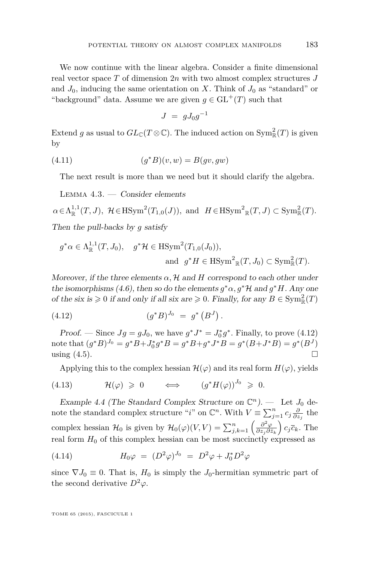<span id="page-13-0"></span>We now continue with the linear algebra. Consider a finite dimensional real vector space *T* of dimension 2*n* with two almost complex structures *J* and  $J_0$ , inducing the same orientation on *X*. Think of  $J_0$  as "standard" or "background" data. Assume we are given  $q \in GL^+(T)$  such that

$$
J \ = \ g J_0 g^{-1}
$$

Extend *g* as usual to  $GL_{\mathbb{C}}(T\otimes\mathbb{C})$ . The induced action on  $\text{Sym}^2_{\mathbb{R}}(T)$  is given by

$$
(4.11)\qquad \qquad (g^*B)(v,w) = B(gv,gw)
$$

The next result is more than we need but it should clarify the algebra.

LEMMA  $4.3.$  — Consider elements

 $\alpha \in \Lambda_{\mathbb{R}}^{1,1}(T, J)$ ,  $\mathcal{H} \in \text{HSym}^2(T_{1,0}(J))$ , and  $H \in \text{HSym}^2_{\mathbb{R}}(T, J) \subset \text{Sym}^2_{\mathbb{R}}(T)$ . Then the pull-backs by *g* satisfy

$$
g^*\alpha \in \Lambda_{\mathbb{R}}^{1,1}(T, J_0), \quad g^*\mathcal{H} \in \text{HSym}^2(T_{1,0}(J_0)),
$$
  
and 
$$
g^*H \in \text{HSym}^2_{\mathbb{R}}(T, J_0) \subset \text{Sym}^2_{\mathbb{R}}(T).
$$

Moreover, if the three elements  $\alpha$ ,  $\mathcal{H}$  and  $H$  correspond to each other under the isomorphisms [\(4.6\)](#page-11-0), then so do the elements  $g^*\alpha, g^*\mathcal{H}$  and  $g^*H$ . Any one of the six is  $\geq 0$  if and only if all six are  $\geq 0$ . Finally, for any  $B \in \text{Sym}_{\mathbb{R}}^2(T)$ 

(4.12) 
$$
(g^*B)^{J_0} = g^* (B^J).
$$

*Proof.* — Since  $Jg = gJ_0$ , we have  $g^*J^* = J_0^*g^*$ . Finally, to prove (4.12) note that  $(g^*B)^{J_0} = g^*B + J_0^*g^*B = g^*B + g^*J^*B = g^*(B + J^*B) = g^*(B^J)$ using  $(4.5)$ .

Applying this to the complex hessian  $\mathcal{H}(\varphi)$  and its real form  $H(\varphi)$ , yields

$$
(4.13) \t\t \mathcal{H}(\varphi) \geqslant 0 \t \Leftrightarrow \t (g^*H(\varphi))^{J_0} \geqslant 0.
$$

Example 4.4 (The Standard Complex Structure on  $\mathbb{C}^n$ ). — Let  $J_0$  denote the standard complex structure "*i*" on  $\mathbb{C}^n$ . With  $V \equiv \sum_{j=1}^n c_j \frac{\partial}{\partial z_j}$  the complex hessian  $\mathcal{H}_0$  is given by  $\mathcal{H}_0(\varphi)(V, V) = \sum_{j,k=1}^n \left( \frac{\partial^2 \varphi}{\partial z_j \partial \overline{z_j}} \right)$  $\frac{\partial^2 \varphi}{\partial z_j \partial \bar{z}_k}$ )  $c_j \overline{c}_k$ . The real form  $H_0$  of this complex hessian can be most succinctly expressed as

(4.14) 
$$
H_0 \varphi = (D^2 \varphi)^{J_0} = D^2 \varphi + J_0^* D^2 \varphi
$$

since  $\nabla J_0 \equiv 0$ . That is,  $H_0$  is simply the  $J_0$ -hermitian symmetric part of the second derivative  $D^2\varphi$ .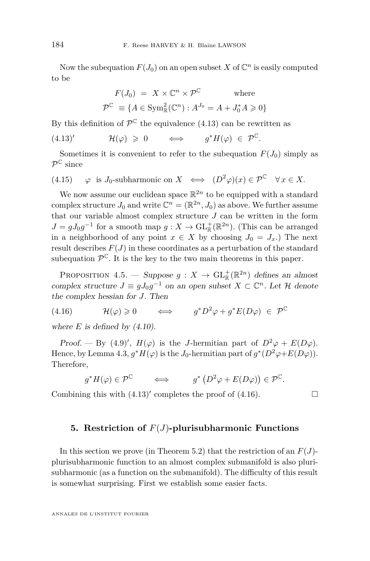<span id="page-14-0"></span>Now the subequation  $F(J_0)$  on an open subset X of  $\mathbb{C}^n$  is easily computed to be

$$
F(J_0) = X \times \mathbb{C}^n \times \mathcal{P}^{\mathbb{C}} \quad \text{where}
$$

$$
\mathcal{P}^{\mathbb{C}} \equiv \{ A \in \text{Sym}_{\mathbb{R}}^2(\mathbb{C}^n) : A^{J_0} = A + J_0^* A \geq 0 \}
$$

By this definition of  $\mathcal{P}^{\mathbb{C}}$  the equivalence (4.13) can be rewritten as

 $(4.13)'$  $(4.13)'$  $\mathcal{H}(\varphi) \geqslant 0 \qquad \Longleftrightarrow \qquad g^*H(\varphi) \in \mathcal{P}^{\mathbb{C}}.$ 

Sometimes it is convenient to refer to the subequation  $F(J_0)$  simply as  $\mathcal{P}^{\mathbb{C}}$  since

(4.15) 
$$
\varphi
$$
 is  $J_0$ -subharmonic on  $X \iff (D^2 \varphi)(x) \in \mathcal{P}^{\mathbb{C}} \quad \forall x \in X$ .

We now assume our euclidean space  $\mathbb{R}^{2n}$  to be equipped with a standard complex structure  $J_0$  and write  $\mathbb{C}^n = (\mathbb{R}^{2n}, J_0)$  as above. We further assume that our variable almost complex structure  $J$  can be written in the form  $J = gJ_0g^{-1}$  for a smooth map  $g: X \to GL_{\mathbb{R}}^{+}(\mathbb{R}^{2n})$ . (This can be arranged in a neighborhood of any point  $x \in X$  by choosing  $J_0 = J_x$ .) The next result describes  $F(J)$  in these coordinates as a perturbation of the standard subequation  $\mathcal{P}^{\mathbb{C}}$ . It is the key to the two main theorems in this paper.

PROPOSITION 4.5. — Suppose  $g: X \to \mathrm{GL}_{\mathbb{R}}^+(\mathbb{R}^{2n})$  defines an almost complex structure  $J \equiv gJ_0g^{-1}$  on an open subset  $X \subset \mathbb{C}^n$ . Let  $\mathcal H$  denote the complex hessian for *J*. Then

(4.16)  $\mathcal{H}(\varphi) \geq 0 \qquad \Longleftrightarrow \qquad g^* D^2 \varphi + g^* E(D\varphi) \in \mathcal{P}^{\mathbb{C}}$ 

where  $E$  is defined by  $(4.10)$ .

Proof. — By [\(4.9\)](#page-12-0)',  $H(\varphi)$  is the *J*-hermitian part of  $D^2\varphi + E(D\varphi)$ . Hence, by Lemma [4.3,](#page-13-0)  $g^*H(\varphi)$  is the *J*<sub>0</sub>-hermitian part of  $g^*(D^2\varphi+E(D\varphi))$ . Therefore,

$$
g^*H(\varphi) \in \mathcal{P}^{\mathbb{C}} \qquad \Longleftrightarrow \qquad g^*\left(D^2\varphi + E(D\varphi)\right) \in \mathcal{P}^{\mathbb{C}}.
$$

Combining this with  $(4.13)'$  $(4.13)'$  completes the proof of  $(4.16)$ .

#### **5. Restriction of** *F*(*J*)**-plurisubharmonic Functions**

In this section we prove (in Theorem [5.2\)](#page-15-0) that the restriction of an  $F(J)$ plurisubharmonic function to an almost complex submanifold is also plurisubharmonic (as a function on the submanifold). The difficulty of this result is somewhat surprising. First we establish some easier facts.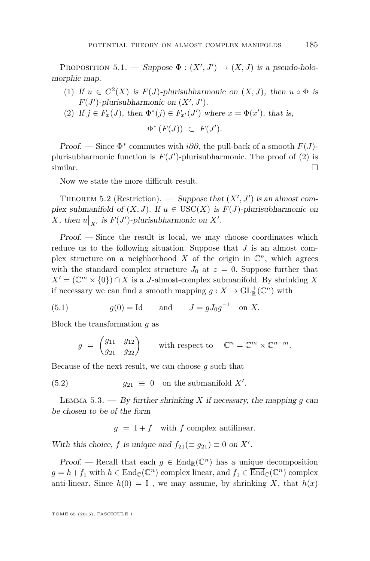<span id="page-15-0"></span>PROPOSITION 5.1. — Suppose  $\Phi : (X', J') \to (X, J)$  is a pseudo-holomorphic map.

- (1) If  $u \in C^2(X)$  is  $F(J)$ -plurisubharmonic on  $(X, J)$ , then  $u \circ \Phi$  is  $F(J')$ -plurisubharmonic on  $(X', J')$ .
- (2) If  $j \in F_x(J)$ , then  $\Phi^*(j) \in F_{x'}(J')$  where  $x = \Phi(x')$ , that is,

$$
\Phi^* (F(J)) \ \subset \ F(J').
$$

Proof. — Since  $\Phi^*$  commutes with  $i\partial\overline{\partial}$ , the pull-back of a smooth  $F(J)$ plurisubharmonic function is  $F(J')$ -plurisubharmonic. The proof of (2) is  $\Box$ similar.

Now we state the more difficult result.

THEOREM 5.2 (Restriction). — Suppose that  $(X', J')$  is an almost complex submanifold of  $(X, J)$ . If  $u \in \text{USC}(X)$  is  $F(J)$ -plurisubharmonic on X, then  $u|_{X}$ , is  $F(J')$ -plurisubharmonic on *X'*.

Proof. — Since the result is local, we may choose coordinates which reduce us to the following situation. Suppose that *J* is an almost complex structure on a neighborhood  $X$  of the origin in  $\mathbb{C}^n$ , which agrees with the standard complex structure  $J_0$  at  $z = 0$ . Suppose further that  $X' = (\mathbb{C}^m \times \{0\}) \cap X$  is a *J*-almost-complex submanifold. By shrinking *X* if necessary we can find a smooth mapping  $g: X \to \text{GL}_{\mathbb{R}}^+(\mathbb{C}^n)$  with

(5.1) 
$$
g(0) = \text{Id}
$$
 and  $J = gJ_0g^{-1}$  on X.

Block the transformation *g* as

$$
g = \begin{pmatrix} g_{11} & g_{12} \\ g_{21} & g_{22} \end{pmatrix} \quad \text{with respect to} \quad \mathbb{C}^n = \mathbb{C}^m \times \mathbb{C}^{n-m}.
$$

Because of the next result, we can choose *g* such that

(5.2)  $g_{21} \equiv 0$  on the submanifold *X'*.

LEMMA  $5.3.$  — By further shrinking *X* if necessary, the mapping *g* can be chosen to be of the form

 $g = I + f$  with *f* complex antilinear.

With this choice, *f* is unique and  $f_{21} (\equiv g_{21}) \equiv 0$  on  $X'$ .

Proof. – Recall that each  $g \in \text{End}_{\mathbb{R}}(\mathbb{C}^n)$  has a unique decomposition  $g = h + f_1$  with  $h \in \text{End}_{\mathbb{C}}(\mathbb{C}^n)$  complex linear, and  $f_1 \in \overline{\text{End}}_{\mathbb{C}}(\mathbb{C}^n)$  complex anti-linear. Since  $h(0) = I$ , we may assume, by shrinking X, that  $h(x)$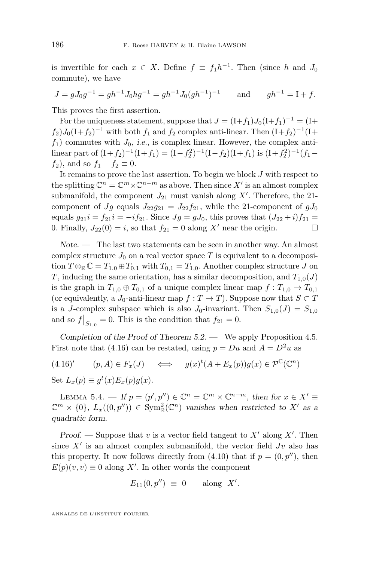<span id="page-16-0"></span>is invertible for each  $x \in X$ . Define  $f \equiv f_1 h^{-1}$ . Then (since *h* and  $J_0$ commute), we have

$$
J = gJ_0g^{-1} = gh^{-1}J_0hg^{-1} = gh^{-1}J_0(gh^{-1})^{-1} \quad \text{and} \quad gh^{-1} = I + f.
$$

This proves the first assertion.

For the uniqueness statement, suppose that  $J = (I + f_1)J_0(I + f_1)^{-1} = (I + f_1)J_0(I + f_1)^{-1}$  $f_2$ ) $J_0(1+f_2)^{-1}$  with both  $f_1$  and  $f_2$  complex anti-linear. Then  $(1+f_2)^{-1}(1+f_1)$  $f_1$ ) commutes with  $J_0$ , *i.e.*, is complex linear. However, the complex antilinear part of  $(I + f_2)^{-1}(I + f_1) = (I - f_2^2)^{-1}(I - f_2)(I + f_1)$  is  $(I + f_2^2)^{-1}(f_1 - f_2)$ *f*<sub>2</sub>)*,* and so  $f_1 - f_2 \equiv 0$ .

It remains to prove the last assertion. To begin we block *J* with respect to the splitting  $\mathbb{C}^n = \mathbb{C}^m \times \mathbb{C}^{n-m}$  as above. Then since  $X'$  is an almost complex submanifold, the component  $J_{21}$  must vanish along  $X'$ . Therefore, the 21component of *Jg* equals  $J_{22}g_{21} = J_{22}f_{21}$ , while the 21-component of  $gJ_0$ equals  $g_{21}i = f_{21}i = -if_{21}$ . Since  $Jg = gJ_0$ , this proves that  $(J_{22} + i)f_{21} =$ 0. Finally,  $J_{22}(0) = i$ , so that  $f_{21} = 0$  along  $X'$  near the origin.

Note. — The last two statements can be seen in another way. An almost complex structure  $J_0$  on a real vector space  $T$  is equivalent to a decomposition  $T \otimes_{\mathbb{R}} \mathbb{C} = T_{1,0} \oplus T_{0,1}$  with  $T_{0,1} = \overline{T_{1,0}}$ . Another complex structure *J* on *T*, inducing the same orientation, has a similar decomposition, and  $T_{1,0}(J)$ is the graph in  $T_{1,0} \oplus T_{0,1}$  of a unique complex linear map  $f: T_{1,0} \to T_{0,1}$ (or equivalently, a *J*<sub>0</sub>-anti-linear map  $f : T \to T$ ). Suppose now that  $S \subset T$ is a *J*-complex subspace which is also  $J_0$ -invariant. Then  $S_{1,0}(J) = S_{1,0}$ and so  $f|_{S_{1,0}} = 0$ . This is the condition that  $f_{21} = 0$ .

Completion of the Proof of Theorem  $5.2.$  — We apply Proposition [4.5.](#page-14-0) First note that [\(4.16\)](#page-14-0) can be restated, using  $p = Du$  and  $A = D^2u$  as

(4.16)' 
$$
(p, A) \in F_x(J)
$$
  $\iff$   $g(x)^t (A + E_x(p)) g(x) \in \mathcal{P}^{\mathbb{C}}(\mathbb{C}^n)$   
Set  $L_x(p) \equiv g^t(x) E_x(p) g(x)$ .

LEMMA 5.4. — If  $p = (p', p'') \in \mathbb{C}^n = \mathbb{C}^m \times \mathbb{C}^{n-m}$ , then for  $x \in X' \equiv$  $\mathbb{C}^m \times \{0\}$ ,  $L_x((0, p'')) \in \text{Sym}^2_{\mathbb{R}}(\mathbb{C}^n)$  vanishes when restricted to X' as a quadratic form.

Proof. — Suppose that  $v$  is a vector field tangent to  $X'$  along  $X'$ . Then since  $X'$  is an almost complex submanifold, the vector field  $Jv$  also has this property. It now follows directly from  $(4.10)$  that if  $p = (0, p'')$ , then  $E(p)(v, v) \equiv 0$  along X'. In other words the component

$$
E_{11}(0, p'') \equiv 0 \quad \text{along } X'.
$$

ANNALES DE L'INSTITUT FOURIER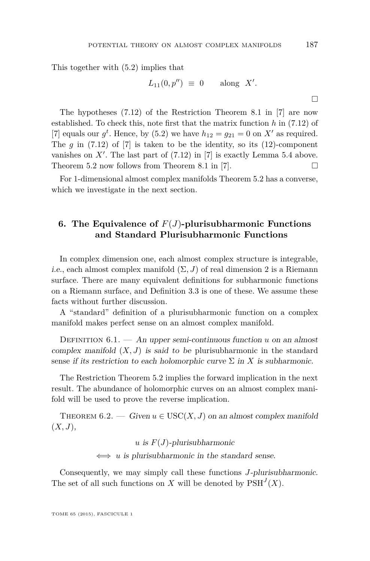<span id="page-17-0"></span>This together with (5.2) implies that

$$
L_{11}(0, p'') \equiv 0 \quad \text{along } X'.
$$

The hypotheses (7.12) of the Restriction Theorem 8.1 in [\[7\]](#page-34-0) are now established. To check this, note first that the matrix function *h* in (7.12) of [\[7\]](#page-34-0) equals our  $g^t$ . Hence, by [\(5.2\)](#page-15-0) we have  $h_{12} = g_{21} = 0$  on  $X'$  as required. The  $g$  in  $(7.12)$  of  $[7]$  is taken to be the identity, so its  $(12)$ -component vanishes on  $X'$ . The last part of  $(7.12)$  in  $[7]$  is exactly Lemma [5.4](#page-16-0) above. Theorem [5.2](#page-15-0) now follows from Theorem 8.1 in [\[7\]](#page-34-0).  $\Box$ 

For 1-dimensional almost complex manifolds Theorem [5.2](#page-15-0) has a converse, which we investigate in the next section.

#### **6. The Equivalence of** *F*(*J*)**-plurisubharmonic Functions and Standard Plurisubharmonic Functions**

In complex dimension one, each almost complex structure is integrable, i.e., each almost complex manifold  $(\Sigma, J)$  of real dimension 2 is a Riemann surface. There are many equivalent definitions for subharmonic functions on a Riemann surface, and Definition 3.3 is one of these. We assume these facts without further discussion.

A "standard" definition of a plurisubharmonic function on a complex manifold makes perfect sense on an almost complex manifold.

DEFINITION  $6.1.$  — An upper semi-continuous function *u* on an almost complex manifold  $(X, J)$  is said to be plurisubharmonic in the standard sense if its restriction to each holomorphic curve  $\Sigma$  in X is subharmonic.

The Restriction Theorem [5.2](#page-15-0) implies the forward implication in the next result. The abundance of holomorphic curves on an almost complex manifold will be used to prove the reverse implication.

THEOREM 6.2. — Given  $u \in \text{USC}(X, J)$  on an almost complex manifold (*X, J*),

 $u$  is  $F(J)$ -plurisubharmonic

⇐⇒ *u* is plurisubharmonic in the standard sense*.*

Consequently, we may simply call these functions *J*-plurisubharmonic. The set of all such functions on *X* will be denoted by  $\text{PSH}^J(X)$ .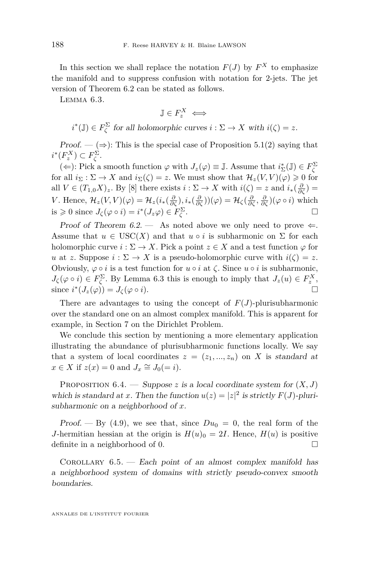In this section we shall replace the notation  $F(J)$  by  $F^X$  to emphasize the manifold and to suppress confusion with notation for 2-jets. The jet version of Theorem [6.2](#page-17-0) can be stated as follows.

Lemma 6.3.

$$
\mathbb{J} \in F_z^X \iff
$$

 $i^*(\mathbb{J}) \in F_{\zeta}^{\Sigma}$  for all holomorphic curves  $i : \Sigma \to X$  with  $i(\zeta) = z$ .

Proof. —  $(\Rightarrow)$ : This is the special case of Proposition [5.1\(](#page-15-0)2) saying that  $i^*(F_z^X) \subset F_{\zeta}^{\Sigma}$ .

(←): Pick a smooth function  $\varphi$  with  $J_z(\varphi) \equiv \mathbb{J}$ . Assume that  $i^*_{\Sigma}(\mathbb{J}) \in F_{\zeta}^{\Sigma}$ for all  $i_{\Sigma} : \Sigma \to X$  and  $i_{\Sigma}(\zeta) = z$ . We must show that  $\mathcal{H}_z(V, V)(\varphi) \geq 0$  for all  $V \in (T_{1,0}X)_z$ . By [\[8\]](#page-34-0) there exists  $i : \Sigma \to X$  with  $i(\zeta) = z$  and  $i_*(\frac{\partial}{\partial \zeta}) =$ V. Hence,  $\mathcal{H}_z(V, V)(\varphi) = \mathcal{H}_z(i_*(\frac{\partial}{\partial \zeta}), i_*(\frac{\partial}{\partial \zeta}))(\varphi) = \mathcal{H}_\zeta(\frac{\partial}{\partial \zeta}, \frac{\partial}{\partial \zeta})(\varphi \circ i)$  which  $i \in \mathcal{S}$  is  $\Rightarrow 0$  since  $J_{\zeta}(\varphi \circ i) = i^*(J_z \varphi) \in F_{\zeta}^{\Sigma}$ .

Proof of Theorem [6.2.](#page-17-0) — As noted above we only need to prove  $\Leftarrow$ . Assume that  $u \in USC(X)$  and that  $u \circ i$  is subharmonic on  $\Sigma$  for each holomorphic curve  $i : \Sigma \to X$ . Pick a point  $z \in X$  and a test function  $\varphi$  for *u* at *z*. Suppose  $i : \Sigma \to X$  is a pseudo-holomorphic curve with  $i(\zeta) = z$ . Obviously,  $\varphi \circ i$  is a test function for  $u \circ i$  at  $\zeta$ . Since  $u \circ i$  is subharmonic,  $J_{\zeta}(\varphi \circ i) \in F_{\zeta}^{\Sigma}$ . By Lemma 6.3 this is enough to imply that  $J_{z}(u) \in F_{z}^{X}$ , since  $i^*(J_z(\varphi)) = J_\zeta(\varphi \circ i)$ .

There are advantages to using the concept of  $F(J)$ -plurisubharmonic over the standard one on an almost complex manifold. This is apparent for example, in Section [7](#page-19-0) on the Dirichlet Problem.

We conclude this section by mentioning a more elementary application illustrating the abundance of plurisubharmonic functions locally. We say that a system of local coordinates  $z = (z_1, ..., z_n)$  on X is standard at  $x \in X$  if  $z(x) = 0$  and  $J_x \cong J_0(= i)$ .

PROPOSITION  $6.4.$  — Suppose *z* is a local coordinate system for  $(X, J)$ which is standard at *x*. Then the function  $u(z) = |z|^2$  is strictly  $F(J)$ -plurisubharmonic on a neighborhood of *x*.

Proof.  $-$  By [\(4.9\)](#page-12-0), we see that, since  $Du_0 = 0$ , the real form of the *J*-hermitian hessian at the origin is  $H(u)$ <sup>0</sup> = 2*I*. Hence,  $H(u)$  is positive definite in a neighborhood of 0.

COROLLARY  $6.5.$  — Each point of an almost complex manifold has a neighborhood system of domains with strictly pseudo-convex smooth boundaries.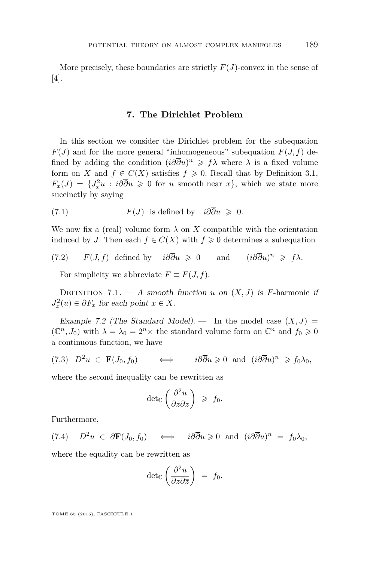<span id="page-19-0"></span>More precisely, these boundaries are strictly  $F(J)$ -convex in the sense of [\[4\]](#page-34-0).

#### **7. The Dirichlet Problem**

In this section we consider the Dirichlet problem for the subequation  $F(J)$  and for the more general "inhomogeneous" subequation  $F(J, f)$  defined by adding the condition  $(i\partial \overline{\partial}u)^n \geq f\lambda$  where  $\lambda$  is a fixed volume form on *X* and  $f \in C(X)$  satisfies  $f \geq 0$ . Recall that by Definition [3.1,](#page-8-0)  $F_x(J) = \{J_x^2u : i\partial\overline{\partial}u \geq 0 \text{ for } u \text{ smooth near } x\}$ , which we state more succinctly by saying

(7.1) 
$$
F(J) \text{ is defined by } i\partial \overline{\partial} u \geq 0.
$$

We now fix a (real) volume form  $\lambda$  on X compatible with the orientation induced by *J*. Then each  $f \in C(X)$  with  $f \geq 0$  determines a subequation

(7.2) *F*(*J, f*) defined by  $i\partial\overline{\partial}u \ge 0$  and  $(i\partial\overline{\partial}u)^n \geq f\lambda.$ 

For simplicity we abbreviate  $F \equiv F(J, f)$ .

DEFINITION 7.1. — A smooth function *u* on  $(X, J)$  is *F*-harmonic if  $J_x^2(u) \in \partial F_x$  for each point  $x \in X$ .

Example 7.2 (The Standard Model). — In the model case  $(X, J)$  =  $(\mathbb{C}^n, J_0)$  with  $\lambda = \lambda_0 = 2^n \times$  the standard volume form on  $\mathbb{C}^n$  and  $f_0 \geq 0$ a continuous function, we have

$$
(7.3) \quad D^2u \in \mathbf{F}(J_0, f_0) \qquad \Longleftrightarrow \qquad i\partial\overline{\partial}u \geqslant 0 \quad \text{and} \quad (i\partial\overline{\partial}u)^n \geqslant f_0\lambda_0,
$$

where the second inequality can be rewritten as

$$
\det_{\mathbb{C}}\left(\frac{\partial^2 u}{\partial z \partial \overline{z}}\right) \geqslant f_0.
$$

Furthermore,

 $(7.4)$  *D*<sup>2</sup> $u \in \partial \mathbf{F}(J_0, f_0) \iff i\partial \overline{\partial} u \geq 0$  and  $(i\partial \overline{\partial} u)^n = f_0 \lambda_0$ ,

where the equality can be rewritten as

$$
\det_{\mathbb{C}}\left(\frac{\partial^2 u}{\partial z \partial \overline{z}}\right) = f_0.
$$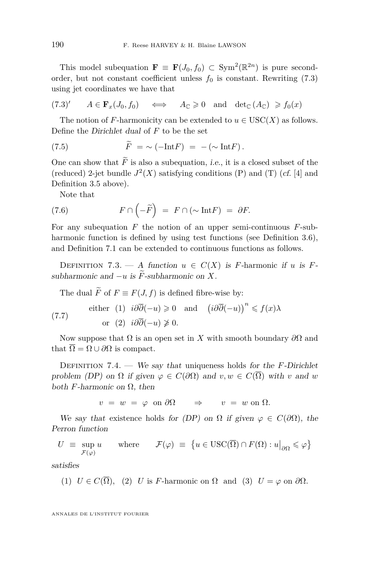<span id="page-20-0"></span>This model subequation  $\mathbf{F} \equiv \mathbf{F}(J_0, f_0) \subset \text{Sym}^2(\mathbb{R}^{2n})$  is pure secondorder, but not constant coefficient unless  $f_0$  is constant. Rewriting [\(7.3\)](#page-19-0) using jet coordinates we have that

$$
(7.3)'\qquad A\in \mathbf{F}_x(J_0,f_0)\qquad \Longleftrightarrow\qquad A_{\mathbb{C}}\geqslant 0\quad \text{and}\quad \det_{\mathbb{C}}(A_{\mathbb{C}})\geqslant f_0(x)
$$

The notion of *F*-harmonicity can be extended to  $u \in USC(X)$  as follows. Define the Dirichlet dual of *F* to be the set

(7.5) 
$$
\widetilde{F} = \sim (-\text{Int}F) = -(\sim \text{Int}F).
$$

One can show that  $\tilde{F}$  is also a subequation, *i.e.*, it is a closed subset of the (reduced) 2-jet bundle  $J^2(X)$  satisfying conditions (P) and (T) (cf. [\[4\]](#page-34-0) and Definition [3.5](#page-10-0) above).

Note that

(7.6) 
$$
F \cap \left(-\widetilde{F}\right) = F \cap \left(\sim \text{Int} F\right) = \partial F.
$$

For any subequation *F* the notion of an upper semi-continuous *F*-sub-harmonic function is defined by using test functions (see Definition [3.6\)](#page-10-0), and Definition [7.1](#page-19-0) can be extended to continuous functions as follows.

DEFINITION 7.3. — A function  $u \in C(X)$  is *F*-harmonic if *u* is *F*subharmonic and  $-u$  is  $\widetilde{F}$ -subharmonic on  $X$ .

The dual  $\widetilde{F}$  of  $F \equiv F(J, f)$  is defined fibre-wise by:

(7.7) either (1) 
$$
i\partial\overline{\partial}(-u) \ge 0
$$
 and  $(i\partial\overline{\partial}(-u))^n \le f(x)\lambda$   
or (2)  $i\partial\overline{\partial}(-u) \ge 0$ .

Now suppose that  $\Omega$  is an open set in *X* with smooth boundary  $\partial\Omega$  and that  $\overline{\Omega} = \Omega \cup \partial \Omega$  is compact.

Definition 7.4. — We say that uniqueness holds for the *F*-Dirichlet problem (DP) on  $\Omega$  if given  $\varphi \in C(\partial \Omega)$  and  $v, w \in C(\overline{\Omega})$  with *v* and *w* both  $F$ -harmonic on  $Ω$ , then

 $v = w = \varphi$  on  $\partial\Omega \implies v = w$  on  $\Omega$ .

We say that existence holds for (DP) on  $\Omega$  if given  $\varphi \in C(\partial \Omega)$ , the Perron function

$$
U \equiv \sup_{\mathcal{F}(\varphi)} u \quad \text{where} \quad \mathcal{F}(\varphi) \equiv \{ u \in \text{USC}(\overline{\Omega}) \cap F(\Omega) : u|_{\partial \Omega} \leqslant \varphi \}
$$

satisfies

(1) 
$$
U \in C(\Omega)
$$
, (2) U is F-harmonic on  $\Omega$  and (3)  $U = \varphi$  on  $\partial\Omega$ .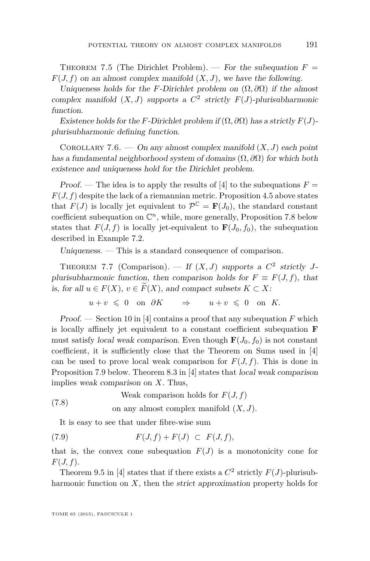<span id="page-21-0"></span>THEOREM 7.5 (The Dirichlet Problem). — For the subequation  $F =$  $F(J, f)$  on an almost complex manifold  $(X, J)$ , we have the following.

Uniqueness holds for the *F*-Dirichlet problem on  $(\Omega, \partial\Omega)$  if the almost complex manifold  $(X, J)$  supports a  $C^2$  strictly  $F(J)$ -plurisubharmonic function.

Existence holds for the *F*-Dirichlet problem if  $(\Omega, \partial \Omega)$  has a strictly  $F(J)$ plurisubharmonic defining function.

COROLLARY 7.6. — On any almost complex manifold  $(X, J)$  each point has a fundamental neighborhood system of domains (Ω*, ∂*Ω) for which both existence and uniqueness hold for the Dirichlet problem.

Proof. — The idea is to apply the results of [\[4\]](#page-34-0) to the subequations  $F =$  $F(J, f)$  despite the lack of a riemannian metric. Proposition [4.5](#page-14-0) above states that  $F(J)$  is locally jet equivalent to  $\mathcal{P}^{\mathbb{C}} = \mathbf{F}(J_0)$ , the standard constant coefficient subequation on  $\mathbb{C}^n$ , while, more generally, Proposition [7.8](#page-22-0) below states that  $F(J, f)$  is locally jet-equivalent to  $\mathbf{F}(J_0, f_0)$ , the subequation described in Example [7.2.](#page-19-0)

Uniqueness. — This is a standard consequence of comparison.

THEOREM 7.7 (Comparison). — If  $(X, J)$  supports a  $C^2$  strictly Jplurisubharmonic function, then comparison holds for  $F \equiv F(J, f)$ , that is, for all  $u \in F(X)$ ,  $v \in \widetilde{F}(X)$ , and compact subsets  $K \subset X$ :

$$
u+v \ \leqslant \ 0 \quad \text{on} \ \ \partial K \qquad \Rightarrow \qquad u+v \ \leqslant \ 0 \quad \text{on} \ \ K.
$$

Proof. — Section 10 in [\[4\]](#page-34-0) contains a proof that any subequation *F* which is locally affinely jet equivalent to a constant coefficient subequation **F** must satisfy *local weak comparison*. Even though  $\mathbf{F}(J_0, f_0)$  is not constant coefficient, it is sufficiently close that the Theorem on Sums used in [\[4\]](#page-34-0) can be used to prove local weak comparison for  $F(J, f)$ . This is done in Proposition [7.9](#page-24-0) below. Theorem 8.3 in [\[4\]](#page-34-0) states that local weak comparison implies weak comparison on *X*. Thus,

Weak comparison holds for  $F(J, f)$ (7.8)

on any almost complex manifold (*X, J*)*.*

It is easy to see that under fibre-wise sum

$$
(7.9) \tF(J, f) + F(J) \tF(J, f),
$$

that is, the convex cone subequation  $F(J)$  is a monotonicity cone for *F*(*J, f*).

Theorem 9.5 in [\[4\]](#page-34-0) states that if there exists a  $C^2$  strictly  $F(J)$ -plurisubharmonic function on *X*, then the strict approximation property holds for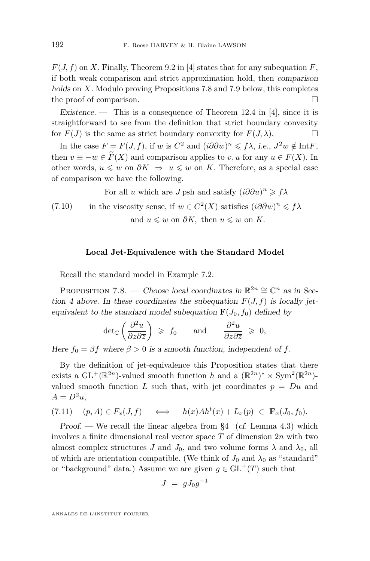<span id="page-22-0"></span> $F(J, f)$  on *X*. Finally, Theorem 9.2 in [\[4\]](#page-34-0) states that for any subequation *F*, if both weak comparison and strict approximation hold, then comparison holds on *X*. Modulo proving Propositions 7.8 and [7.9](#page-24-0) below, this completes the proof of comparison.

Existence. — This is a consequence of Theorem 12.4 in [\[4\]](#page-34-0), since it is straightforward to see from the definition that strict boundary convexity for  $F(J)$  is the same as strict boundary convexity for  $F(J, \lambda)$ .

In the case  $F = F(J, f)$ , if *w* is  $C^2$  and  $(i\partial \overline{\partial} w)^n \leq f\lambda$ , i.e.,  $J^2w \notin \text{Int } F$ , then  $v \equiv -w \in \widetilde{F}(X)$  and comparison applies to *v*, *u* for any  $u \in F(X)$ . In other words,  $u \leq w$  on  $\partial K \Rightarrow u \leq w$  on K. Therefore, as a special case of comparison we have the following.

For all *u* which are *J* psh and satisfy  $(i\partial \overline{\partial}u)^n \geq f\lambda$ 

in the viscosity sense, if  $w \in C^2(X)$  satisfies  $(i\partial \overline{\partial}w)^n \leq f\lambda$ and  $u \leq w$  on  $\partial K$ , then  $u \leq w$  on  $K$ . (7.10)

#### **Local Jet-Equivalence with the Standard Model**

Recall the standard model in Example [7.2.](#page-19-0)

PROPOSITION 7.8. — Choose local coordinates in  $\mathbb{R}^{2n} \cong \mathbb{C}^n$  as in Section 4 above. In these coordinates the subequation  $F(J, f)$  is locally jetequivalent to the standard model subequation  $\mathbf{F}(J_0, f_0)$  defined by

$$
\det_{\mathbb{C}}\left(\frac{\partial^2 u}{\partial z \partial \overline{z}}\right) \geqslant f_0 \quad \text{and} \quad \frac{\partial^2 u}{\partial z \partial \overline{z}} \geqslant 0,
$$

Here  $f_0 = \beta f$  where  $\beta > 0$  is a smooth function, independent of f.

By the definition of jet-equivalence this Proposition states that there exists a  $GL^+(\mathbb{R}^{2n})$ -valued smooth function *h* and a  $(\mathbb{R}^{2n})^* \times Sym^2(\mathbb{R}^{2n})$ valued smooth function *L* such that, with jet coordinates  $p = Du$  and  $A = D^2u$ ,

$$
(7.11) \quad (p, A) \in F_x(J, f) \quad \iff \quad h(x) \text{A}h^t(x) + L_x(p) \in \mathbf{F}_x(J_0, f_0).
$$

Proof. — We recall the linear algebra from  $\S 4$  (cf. Lemma [4.3\)](#page-13-0) which involves a finite dimensional real vector space *T* of dimension 2*n* with two almost complex structures *J* and  $J_0$ , and two volume forms  $\lambda$  and  $\lambda_0$ , all of which are orientation compatible. (We think of  $J_0$  and  $\lambda_0$  as "standard" or "background" data.) Assume we are given  $q \in GL^+(T)$  such that

$$
J = gJ_0g^{-1}
$$

ANNALES DE L'INSTITUT FOURIER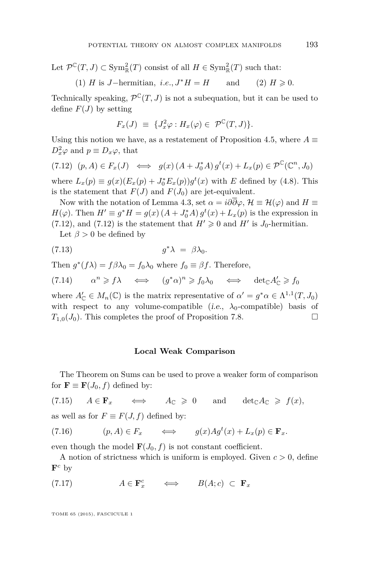Let  $\mathcal{P}^{\mathbb{C}}(T, J) \subset \text{Sym}_{\mathbb{R}}^2(T)$  consist of all  $H \in \text{Sym}_{\mathbb{R}}^2(T)$  such that:

(1) *H* is *J*-hermitian, *i.e.*, 
$$
J^*H = H
$$
 and (2)  $H \ge 0$ .

Technically speaking,  $\mathcal{P}^{\mathbb{C}}(T, J)$  is not a subequation, but it can be used to define  $F(J)$  by setting

$$
F_x(J) \equiv \{J_x^2 \varphi : H_x(\varphi) \in \mathcal{P}^{\mathbb{C}}(T,J) \}.
$$

Using this notion we have, as a restatement of Proposition [4.5,](#page-14-0) where  $A \equiv$  $D_x^2 \varphi$  and  $p \equiv D_x \varphi$ , that

 $(7.12)$   $(p, A) \in F_x(J) \iff g(x) (A + J_0^* A) g^t(x) + L_x(p) \in \mathcal{P}^{\mathbb{C}}(\mathbb{C}^n, J_0)$ 

where  $L_x(p) \equiv g(x)(E_x(p) + J_0^* E_x(p))g^t(x)$  with *E* defined by [\(4.8\)](#page-11-0). This is the statement that  $F(J)$  and  $F(J_0)$  are jet-equivalent.

Now with the notation of Lemma [4.3,](#page-13-0) set  $\alpha = i\partial\overline{\partial}\varphi$ ,  $\mathcal{H} \equiv \mathcal{H}(\varphi)$  and  $H \equiv$ *H*( $\varphi$ ). Then *H*<sup> $\prime$ </sup>  $\equiv$  *g*<sup>\*</sup>*H* = *g*(*x*) (*A* + *J*<sub>0</sub><sup>\*</sup>*A*) *g*<sup>*t*</sup>(*x*) + *L<sub><i>x*</sub>(*p*) is the expression in  $(7.12)$ , and  $(7.12)$  is the statement that  $H' \geq 0$  and  $H'$  is  $J_0$ -hermitian.

Let  $\beta > 0$  be defined by

$$
(7.13) \t\t\t g^*\lambda = \beta\lambda_0.
$$

Then  $g^*(f\lambda) = f\beta\lambda_0 = f_0\lambda_0$  where  $f_0 \equiv \beta f$ . Therefore,

 $(7.14)$   $\alpha^n \geq f\lambda \iff (g^*\alpha)^n \geq f_0\lambda_0 \iff \det_{\mathbb{C}}A'_{\mathbb{C}} \geq f_0$ 

where  $A'_{\mathbb{C}} \in M_n(\mathbb{C})$  is the matrix representative of  $\alpha' = g^* \alpha \in \Lambda^{1,1}(T, J_0)$ with respect to any volume-compatible (i.e.,  $\lambda_0$ -compatible) basis of  $T_{1,0}(J_0)$ . This completes the proof of Proposition [7.8.](#page-22-0)

#### **Local Weak Comparison**

The Theorem on Sums can be used to prove a weaker form of comparison for  $\mathbf{F} \equiv \mathbf{F}(J_0, f)$  defined by:

 $(7.15)$   $A \in \mathbf{F}_x$   $\iff$   $A_{\mathbb{C}} \geq 0$  and  $\det_{\mathbb{C}} A_{\mathbb{C}} \geq f(x)$ ,

as well as for  $F \equiv F(J, f)$  defined by:

(7.16) 
$$
(p, A) \in F_x \qquad \Longleftrightarrow \qquad g(x) A g^t(x) + L_x(p) \in \mathbf{F}_x.
$$

even though the model  $\mathbf{F}(J_0, f)$  is not constant coefficient.

A notion of strictness which is uniform is employed. Given  $c > 0$ , define  $\mathbf{F}^c$  by

(7.17)  $A \in \mathbf{F}_x^c \iff B(A; c) \subset \mathbf{F}_x$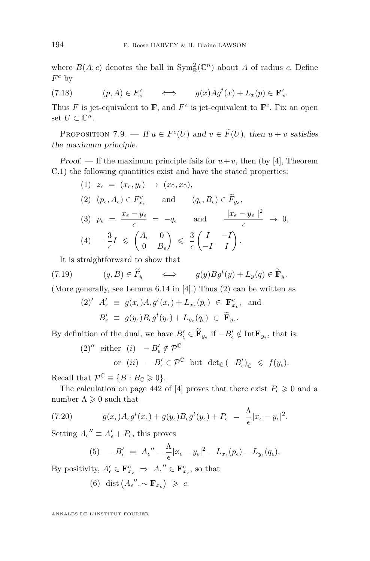<span id="page-24-0"></span>where  $B(A; c)$  denotes the ball in  $\text{Sym}^2_{\mathbb{R}}(\mathbb{C}^n)$  about A of radius c. Define *F <sup>c</sup>* by

(7.18) 
$$
(p, A) \in F_x^c \qquad \Longleftrightarrow \qquad g(x)Ag^t(x) + L_x(p) \in \mathbf{F}_x^c.
$$

Thus F is jet-equivalent to **F**, and  $F^c$  is jet-equivalent to  $\mathbf{F}^c$ . Fix an open set  $U \subset \mathbb{C}^n$ .

PROPOSITION 7.9. — If  $u \in F^c(U)$  and  $v \in \widetilde{F}(U)$ , then  $u + v$  satisfies the maximum principle.

*Proof.* — If the maximum principle fails for  $u + v$ , then (by [\[4\]](#page-34-0), Theorem C.1) the following quantities exist and have the stated properties:

(1) 
$$
z_{\epsilon} = (x_{\epsilon}, y_{\epsilon}) \rightarrow (x_0, x_0),
$$
  
\n(2)  $(p_{\epsilon}, A_{\epsilon}) \in F_{x_{\epsilon}}^c$  and  $(q_{\epsilon}, B_{\epsilon}) \in \widetilde{F}_{y_{\epsilon}},$   
\n(3)  $p_{\epsilon} = \frac{x_{\epsilon} - y_{\epsilon}}{\epsilon} = -q_{\epsilon}$  and  $\frac{|x_{\epsilon} - y_{\epsilon}|^2}{\epsilon} \rightarrow 0,$   
\n(4)  $-\frac{3}{\epsilon}I \le \begin{pmatrix} A_{\epsilon} & 0 \\ 0 & B_{\epsilon} \end{pmatrix} \le \frac{3}{\epsilon} \begin{pmatrix} I & -I \\ -I & I \end{pmatrix}.$ 

It is straightforward to show that

(7.19) 
$$
(q, B) \in \widetilde{F}_y \qquad \Longleftrightarrow \qquad g(y)Bg^t(y) + L_y(q) \in \widetilde{\mathbf{F}}_y.
$$

(More generally, see Lemma 6.14 in [\[4\]](#page-34-0).) Thus (2) can be written as

(2)' 
$$
A'_{\epsilon} \equiv g(x_{\epsilon})A_{\epsilon}g^{t}(x_{\epsilon}) + L_{x_{\epsilon}}(p_{\epsilon}) \in \mathbf{F}^{c}_{x_{\epsilon}},
$$
 and  
\n $B'_{\epsilon} \equiv g(y_{\epsilon})B_{\epsilon}g^{t}(y_{\epsilon}) + L_{y_{\epsilon}}(q_{\epsilon}) \in \widetilde{\mathbf{F}}_{y_{\epsilon}}.$ 

By definition of the dual, we have  $B'_{\epsilon} \in \mathbf{F}_{y_{\epsilon}}$  if  $-B'_{\epsilon} \notin \text{Int}\mathbf{F}_{y_{\epsilon}}$ , that is:

(2)'' either (i) 
$$
-B'_{\epsilon} \notin \mathcal{P}^{\mathbb{C}}
$$
  
or (ii)  $-B'_{\epsilon} \in \mathcal{P}^{\mathbb{C}}$  but  $\det_{\mathbb{C}} (-B'_{\epsilon})_{\mathbb{C}} \leq f(y_{\epsilon}).$ 

Recall that  $\mathcal{P}^{\mathbb{C}} \equiv \{B : B_{\mathbb{C}} \geqslant 0\}.$ 

The calculation on page 442 of [\[4\]](#page-34-0) proves that there exist  $P_{\epsilon} \geq 0$  and a number  $\Lambda \geqslant 0$  such that

(7.20) 
$$
g(x_{\epsilon})A_{\epsilon}g^{t}(x_{\epsilon})+g(y_{\epsilon})B_{\epsilon}g^{t}(y_{\epsilon})+P_{\epsilon} = \frac{\Lambda}{\epsilon}|x_{\epsilon}-y_{\epsilon}|^{2}.
$$

Setting  $A_{\epsilon}^{\prime\prime} \equiv A_{\epsilon}^{\prime} + P_{\epsilon}$ , this proves

(5) 
$$
-B_{\epsilon}' = A_{\epsilon}'' - \frac{\Lambda}{\epsilon} |x_{\epsilon} - y_{\epsilon}|^2 - L_{x_{\epsilon}}(p_{\epsilon}) - L_{y_{\epsilon}}(q_{\epsilon}).
$$

By positivity,  $A'_{\epsilon} \in \mathbf{F}^c_{x_{\epsilon}} \Rightarrow A_{\epsilon}'' \in \mathbf{F}^c_{x_{\epsilon}}$ , so that

(6) dist  $(A_{\epsilon}^{\prime\prime}, \sim \mathbf{F}_{x_{\epsilon}}) \geq c$ .

ANNALES DE L'INSTITUT FOURIER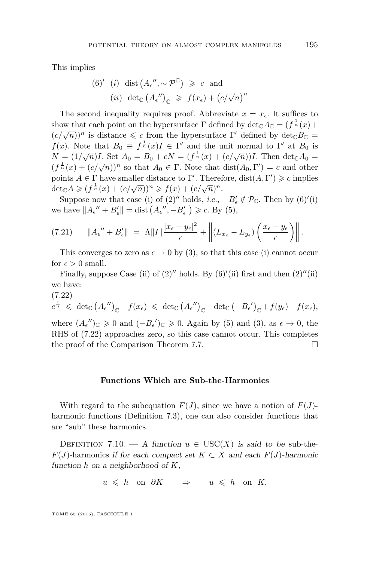This implies

(6)' (i) dist 
$$
(A_{\epsilon}''', \sim \mathcal{P}^{\mathbb{C}}) \geq c
$$
 and  
\n(ii) det <sub>$\mathbb{C}$</sub>   $(A_{\epsilon}''')_{\mathbb{C}} \geq f(x_{\epsilon}) + (c/\sqrt{n})^n$ 

The second inequality requires proof. Abbreviate  $x = x_{\epsilon}$ . It suffices to show that each point on the hypersurface  $\Gamma$  defined by  $\det_{\mathbb{C}} A_{\mathbb{C}} = (f^{\frac{1}{n}}(x) +$  $(c/\sqrt{n}))^n$  is distance  $\leq c$  from the hypersurface Γ' defined by det<sub>C</sub>*B*<sub>C</sub> = *f*(*x*). Note that  $B_0 \equiv f^{\frac{1}{n}}(x)I \in \Gamma'$  and the unit normal to  $\Gamma'$  at  $B_0$  is *N* =  $(1/\sqrt{n})I$ . Set  $A_0 = B_0 + cN = (f^{\frac{1}{n}}(x) + (c/\sqrt{n}))I$ . Then det<sub>C</sub> $A_0 =$  $(f^{\frac{1}{n}}(x) + (c/\sqrt{n}))^n$  so that  $A_0 \in \Gamma$ . Note that dist $(A_0, \Gamma') = c$  and other points  $A \in \Gamma$  have smaller distance to  $\Gamma'$ . Therefore,  $dist(A, \Gamma') \geq c$  implies  $\det_{\mathbb{C}} A \geq (f^{\frac{1}{n}}(x) + (c/\sqrt{n}))^n \geq f(x) + (c/\sqrt{n})^n$ .

Suppose now that case (i) of  $(2)''$  holds, i.e.,  $-B'_{\epsilon} \notin \mathcal{P}_{\mathbb{C}}$ . Then by  $(6)'(i)$ we have  $||A_{\epsilon}'' + B_{\epsilon}'|| = \text{dist}(A_{\epsilon}'', -B_{\epsilon}') \geqslant c$ . By (5),

$$
(7.21) \t||A_{\epsilon}'' + B_{\epsilon}'|| = \Lambda ||I|| \frac{|x_{\epsilon} - y_{\epsilon}|^2}{\epsilon} + \left|| (L_{x_{\epsilon}} - L_{y_{\epsilon}}) \left( \frac{x_{\epsilon} - y_{\epsilon}}{\epsilon} \right) \right||.
$$

This converges to zero as  $\epsilon \to 0$  by (3), so that this case (i) cannot occur for  $\epsilon > 0$  small.

Finally, suppose Case (ii) of  $(2)''$  holds. By  $(6)'$ (ii) first and then  $(2)''$ (ii) we have:

$$
(7.22)
$$

$$
c^{\frac{1}{n}} \leqslant \ \det_{\mathbb{C}} (A_{\epsilon}^{\prime\prime})_{\mathbb{C}} - f(x_{\epsilon}) \leqslant \ \det_{\mathbb{C}} (A_{\epsilon}^{\prime\prime})_{\mathbb{C}} - \det_{\mathbb{C}} (-B_{\epsilon}^{\prime})_{\mathbb{C}} + f(y_{\epsilon}) - f(x_{\epsilon}),
$$

where  $(A_{\epsilon}^{\prime\prime})_{\mathbb{C}} \geq 0$  and  $(-B_{\epsilon}^{\prime})_{\mathbb{C}} \geq 0$ . Again by (5) and (3), as  $\epsilon \to 0$ , the RHS of (7.22) approaches zero, so this case cannot occur. This completes the proof of the Comparison Theorem [7.7.](#page-21-0)

#### **Functions Which are Sub-the-Harmonics**

With regard to the subequation  $F(J)$ , since we have a notion of  $F(J)$ harmonic functions (Definition [7.3\)](#page-20-0), one can also consider functions that are "sub" these harmonics.

DEFINITION 7.10. — A function  $u \in \text{USC}(X)$  is said to be sub-the-*F*(*J*)-harmonics if for each compact set  $K \subset X$  and each  $F(J)$ -harmonic function *h* on a neighborhood of *K*,

$$
u \leq h
$$
 on  $\partial K \implies u \leq h$  on K.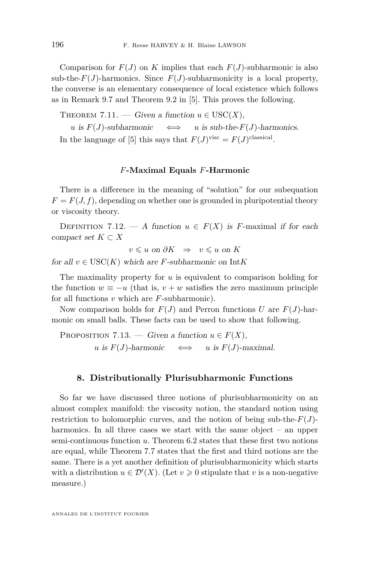<span id="page-26-0"></span>Comparison for  $F(J)$  on *K* implies that each  $F(J)$ -subharmonic is also sub-the- $F(J)$ -harmonics. Since  $F(J)$ -subharmonicity is a local property, the converse is an elementary consequence of local existence which follows as in Remark 9.7 and Theorem 9.2 in [\[5\]](#page-34-0). This proves the following.

THEOREM 7.11. — Given a function  $u \in \text{USC}(X)$ ,

 $u$  is  $F(J)$ -subharmonic  $\iff$  *u* is sub-the- $F(J)$ -harmonics. In the language of [\[5\]](#page-34-0) this says that  $F(J)^{visc} = F(J)^{classical}$ .

#### *F***-Maximal Equals** *F***-Harmonic**

There is a difference in the meaning of "solution" for our subequation  $F = F(J, f)$ , depending on whether one is grounded in pluripotential theory or viscosity theory.

DEFINITION 7.12. — A function  $u \in F(X)$  is *F*-maximal if for each compact set  $K \subset X$ 

*v*  $\leq$  *u* on  $\partial K$   $\Rightarrow$  *v*  $\leq$  *u* on *K* 

for all  $v \in \text{USC}(K)$  which are *F*-subharmonic on Int*K* 

The maximality property for *u* is equivalent to comparison holding for the function  $w \equiv -u$  (that is,  $v + w$  satisfies the zero maximum principle for all functions *v* which are *F*-subharmonic).

Now comparison holds for  $F(J)$  and Perron functions *U* are  $F(J)$ -harmonic on small balls. These facts can be used to show that following.

PROPOSITION 7.13. — Given a function  $u \in F(X)$ , *u* is  $F(J)$ -harmonic  $\iff$  *u* is  $F(J)$ -maximal.

#### **8. Distributionally Plurisubharmonic Functions**

So far we have discussed three notions of plurisubharmonicity on an almost complex manifold: the viscosity notion, the standard notion using restriction to holomorphic curves, and the notion of being sub-the- $F(J)$ harmonics. In all three cases we start with the same object – an upper semi-continuous function *u*. Theorem [6.2](#page-17-0) states that these first two notions are equal, while Theorem [7.7](#page-21-0) states that the first and third notions are the same. There is a yet another definition of plurisubharmonicity which starts with a distribution  $u \in \mathcal{D}'(X)$ . (Let  $v \geq 0$  stipulate that *v* is a non-negative measure.)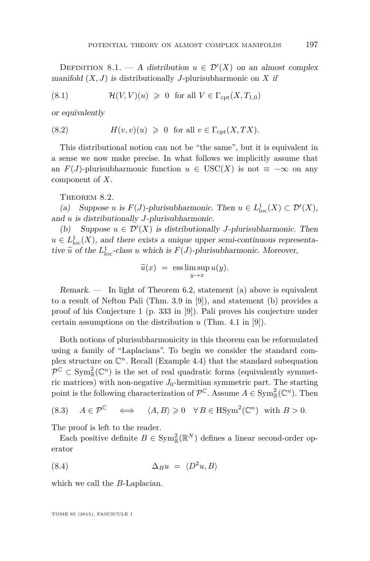<span id="page-27-0"></span>DEFINITION 8.1. — A distribution  $u \in \mathcal{D}'(X)$  on an almost complex manifold  $(X, J)$  is distributionally *J*-plurisubharmonic on *X* if

(8.1) 
$$
\mathcal{H}(V,V)(u) \geq 0 \text{ for all } V \in \Gamma_{\text{cpt}}(X,T_{1,0})
$$

or equivalently

(8.2) 
$$
H(v, v)(u) \geq 0 \text{ for all } v \in \Gamma_{\text{cpt}}(X, TX).
$$

This distributional notion can not be "the same", but it is equivalent in a sense we now make precise. In what follows we implicitly assume that an  $F(J)$ -plurisubharmonic function  $u \in \text{USC}(X)$  is not  $\equiv -\infty$  on any component of *X*.

THEOREM 8.2.

(a) Suppose *u* is  $F(J)$ -plurisubharmonic. Then  $u \in L^1_{loc}(X) \subset \mathcal{D}'(X)$ , and *u* is distributionally *J*-plurisubharmonic.

(b) Suppose  $u \in \mathcal{D}'(X)$  is distributionally *J*-plurisubharmonic. Then  $u \in L^1_{loc}(X)$ , and there exists a unique upper semi-continuous representative  $\tilde{u}$  of the  $L^1_{loc}$ -class *u* which is  $F(J)$ -plurisubharmonic. Moreover,

$$
\widetilde{u}(x) = \operatorname{ess} \limsup_{y \to x} u(y).
$$

 $Remark. -$  In light of Theorem [6.2,](#page-17-0) statement (a) above is equivalent to a result of Nefton Pali (Thm. 3.9 in [\[9\]](#page-34-0)), and statement (b) provides a proof of his Conjecture 1 (p. 333 in [\[9\]](#page-34-0)). Pali proves his conjecture under certain assumptions on the distribution *u* (Thm. 4.1 in [\[9\]](#page-34-0)).

Both notions of plurisubharmonicity in this theorem can be reformulated using a family of "Laplacians". To begin we consider the standard complex structure on  $\mathbb{C}^n$ . Recall (Example [4.4\)](#page-13-0) that the standard subequation  $\mathcal{P}^{\mathbb{C}} \subset \text{Sym}_{\mathbb{R}}^2(\mathbb{C}^n)$  is the set of real quadratic forms (equivalently symmetric matrices) with non-negative  $J_0$ -hermitian symmetric part. The starting point is the following characterization of  $\mathcal{P}^{\mathbb{C}}$ . Assume  $A \in \text{Sym}_{\mathbb{R}}^2(\mathbb{C}^n)$ . Then

(8.3) 
$$
A \in \mathcal{P}^{\mathbb{C}} \iff \langle A, B \rangle \geq 0 \quad \forall B \in \text{HSym}^2(\mathbb{C}^n) \text{ with } B > 0.
$$

The proof is left to the reader.

Each positive definite  $B \in \text{Sym}_{\mathbb{R}}^2(\mathbb{R}^N)$  defines a linear second-order operator

$$
(8.4) \qquad \Delta_B u = \langle D^2 u, B \rangle
$$

which we call the *B*-Laplacian.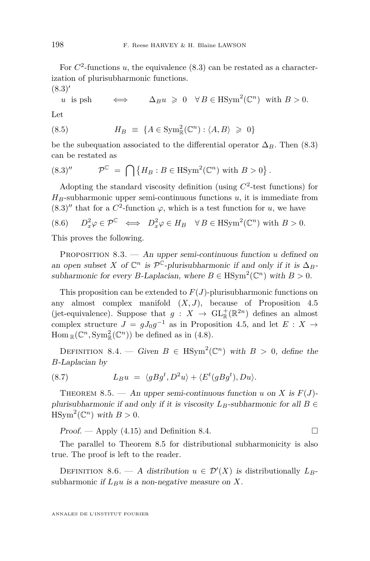<span id="page-28-0"></span>For  $C^2$ -functions *u*, the equivalence  $(8.3)$  can be restated as a characterization of plurisubharmonic functions.  $(8.3)'$  $(8.3)'$ 

*u* is psh 
$$
\iff \Delta_B u \geq 0 \quad \forall B \in \text{HSym}^2(\mathbb{C}^n)
$$
 with  $B > 0$ .

Let

(8.5) 
$$
H_B \equiv \{A \in \text{Sym}^2_{\mathbb{R}}(\mathbb{C}^n) : \langle A, B \rangle \geq 0\}
$$

be the subequation associated to the differential operator  $\Delta_B$ . Then (8.3) can be restated as

$$
(8.3)'' \qquad \mathcal{P}^{\mathbb{C}} = \bigcap \{ H_B : B \in \text{HSym}^2(\mathbb{C}^n) \text{ with } B > 0 \}.
$$

Adopting the standard viscosity definition (using  $C^2$ -test functions) for  $H_B$ -subharmonic upper semi-continuous functions  $u$ , it is immediate from  $(8.3)''$  that for a  $C^2$ -function  $\varphi$ , which is a test function for *u*, we have

(8.6) 
$$
D_x^2 \varphi \in \mathcal{P}^{\mathbb{C}} \iff D_x^2 \varphi \in H_B \quad \forall B \in \text{HSym}^2(\mathbb{C}^n) \text{ with } B > 0.
$$

This proves the following.

PROPOSITION 8.3. — An upper semi-continuous function *u* defined on an open subset *X* of  $\mathbb{C}^n$  is  $\mathcal{P}^{\mathbb{C}}$ -plurisubharmonic if and only if it is  $\Delta_B$ subharmonic for every *B*-Laplacian, where  $B \in H\text{Sym}^2(\mathbb{C}^n)$  with  $B > 0$ .

This proposition can be extended to *F*(*J*)-plurisubharmonic functions on any almost complex manifold (*X, J*), because of Proposition [4.5](#page-14-0) (jet-equivalence). Suppose that  $g: X \to GL^+_{\mathbb{R}}(\mathbb{R}^{2n})$  defines an almost complex structure  $J = gJ_0g^{-1}$  as in Proposition [4.5,](#page-14-0) and let  $E: X \rightarrow$  $\text{Hom}_{\mathbb{R}}(\mathbb{C}^n, \text{Sym}_{\mathbb{R}}^2(\mathbb{C}^n))$  be defined as in [\(4.8\)](#page-11-0).

DEFINITION 8.4. — Given  $B \in \text{HSym}^2(\mathbb{C}^n)$  with  $B > 0$ , define the *B*-Laplacian by

(8.7) 
$$
L_B u = \langle g B g^t, D^2 u \rangle + \langle E^t (g B g^t), D u \rangle.
$$

THEOREM 8.5. — An upper semi-continuous function *u* on *X* is  $F(J)$ plurisubharmonic if and only if it is viscosity  $L_B$ -subharmonic for all  $B \in$  $\text{HSym}^2(\mathbb{C}^n)$  with  $B > 0$ .

Proof. — Apply  $(4.15)$  and Definition 8.4.

The parallel to Theorem 8.5 for distributional subharmonicity is also true. The proof is left to the reader.

DEFINITION 8.6. — A distribution  $u \in \mathcal{D}'(X)$  is distributionally  $L_B$ subharmonic if  $L_B u$  is a non-negative measure on  $X$ .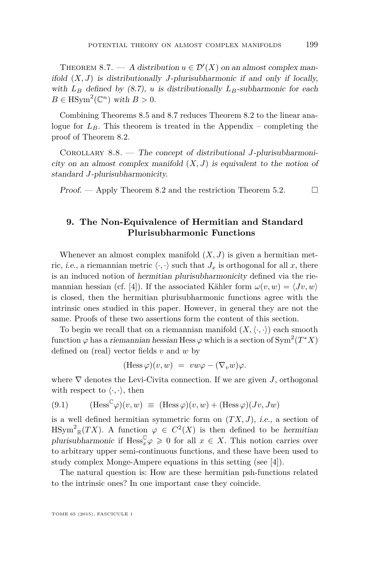<span id="page-29-0"></span>THEOREM 8.7. — A distribution  $u \in \mathcal{D}'(X)$  on an almost complex manifold  $(X, J)$  is distributionally *J*-plurisubharmonic if and only if locally, with  $L_B$  defined by [\(8.7\)](#page-28-0), *u* is distributionally  $L_B$ -subharmonic for each  $B \in \text{HSym}^2(\mathbb{C}^n)$  with  $B > 0$ .

Combining Theorems [8.5](#page-28-0) and 8.7 reduces Theorem [8.2](#page-27-0) to the linear analogue for  $L_B$ . This theorem is treated in the Appendix – completing the proof of Theorem [8.2.](#page-27-0)

Corollary 8.8. — The concept of distributional *J*-plurisubharmonicity on an almost complex manifold  $(X, J)$  is equivalent to the notion of standard *J*-plurisubharmonicity.

Proof. — Apply Theorem [8.2](#page-27-0) and the restriction Theorem [5.2.](#page-15-0)  $\Box$ 

#### **9. The Non-Equivalence of Hermitian and Standard Plurisubharmonic Functions**

Whenever an almost complex manifold  $(X, J)$  is given a hermitian metric, *i.e.*, a riemannian metric  $\langle \cdot, \cdot \rangle$  such that  $J_x$  is orthogonal for all x, there is an induced notion of hermitian plurisubharmonicity defined via the rie-mannian hessian (cf. [\[4\]](#page-34-0)). If the associated Kähler form  $\omega(v, w) = \langle Jv, w \rangle$ is closed, then the hermitian plurisubharmonic functions agree with the intrinsic ones studied in this paper. However, in general they are not the same. Proofs of these two assertions form the content of this section.

To begin we recall that on a riemannian manifold  $(X, \langle \cdot, \cdot \rangle)$  each smooth function  $\varphi$  has a *riemannian hessian* Hess  $\varphi$  which is a section of  $\text{Sym}^2(T^*X)$ defined on (real) vector fields *v* and *w* by

$$
(\text{Hess}\,\varphi)(v,w) = vw\varphi - (\nabla_v w)\varphi.
$$

where  $\nabla$  denotes the Levi-Civita connection. If we are given *J*, orthogonal with respect to  $\langle \cdot, \cdot \rangle$ , then

$$
(9.1) \qquad (\text{Hess}^{\mathbb{C}} \varphi)(v, w) \equiv (\text{Hess} \varphi)(v, w) + (\text{Hess} \varphi)(Jv, Jw)
$$

is a well defined hermitian symmetric form on  $(TX, J)$ , i.e., a section of  $\text{HSym}^2_{\mathbb{R}}(TX)$ . A function  $\varphi \in C^2(X)$  is then defined to be hermitian plurisubharmonic if  $\text{Hess}_{x}^{\mathbb{C}} \varphi \geqslant 0$  for all  $x \in X$ . This notion carries over to arbitrary upper semi-continuous functions, and these have been used to study complex Monge-Ampere equations in this setting (see [\[4\]](#page-34-0)).

The natural question is: How are these hermitian psh-functions related to the intrinsic ones? In one important case they coincide.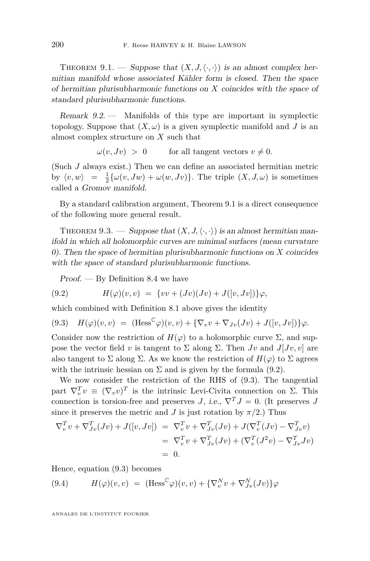<span id="page-30-0"></span>THEOREM 9.1. — Suppose that  $(X, J, \langle \cdot, \cdot \rangle)$  is an almost complex hermitian manifold whose associated Kähler form is closed. Then the space of hermitian plurisubharmonic functions on *X* coincides with the space of standard plurisubharmonic functions.

Remark 9.2. — Manifolds of this type are important in symplectic topology. Suppose that  $(X, \omega)$  is a given symplectic manifold and *J* is an almost complex structure on *X* such that

 $\omega(v, Jv) > 0$  for all tangent vectors  $v \neq 0$ .

(Such *J* always exist.) Then we can define an associated hermitian metric by  $\langle v, w \rangle = \frac{1}{2} \{ \omega(v, Jw) + \omega(w, Jv) \}.$  The triple  $(X, J, \omega)$  is sometimes called a Gromov manifold.

By a standard calibration argument, Theorem 9.1 is a direct consequence of the following more general result.

THEOREM 9.3. — Suppose that  $(X, J, \langle \cdot, \cdot \rangle)$  is an almost hermitian manifold in which all holomorphic curves are minimal surfaces (mean curvature 0). Then the space of hermitian plurisubharmonic functions on *X* coincides with the space of standard plurisubharmonic functions.

 $Proof.$  — By Definition [8.4](#page-28-0) we have

(9.2) 
$$
H(\varphi)(v,v) = \{vv + (Jv)(Jv) + J([v,Jv])\}\varphi,
$$

which combined with Definition [8.1](#page-27-0) above gives the identity

$$
(9.3) \quad H(\varphi)(v,v) \ = \ (\text{Hess}^{\mathbb{C}}\varphi)(v,v) + \{\nabla_v v + \nabla_{Jv}(Jv) + J([v,Jv])\}\varphi.
$$

Consider now the restriction of  $H(\varphi)$  to a holomorphic curve  $\Sigma$ , and suppose the vector field *v* is tangent to  $\Sigma$  along  $\Sigma$ . Then *Jv* and *J*[*Jv*, *v*] are also tangent to  $\Sigma$  along  $\Sigma$ . As we know the restriction of  $H(\varphi)$  to  $\Sigma$  agrees with the intrinsic hessian on  $\Sigma$  and is given by the formula (9.2).

We now consider the restriction of the RHS of (9.3). The tangential part  $\nabla_v^T v \equiv (\nabla_v v)^T$  is the intrinsic Levi-Civita connection on  $\Sigma$ . This connection is torsion-free and preserves *J*, i.e.,  $\nabla^T J = 0$ . (It preserves *J* since it preserves the metric and *J* is just rotation by  $\pi/2$ .) Thus

$$
\nabla_v^T v + \nabla_{Jv}^T (Jv) + J([v, Jv]) = \nabla_v^T v + \nabla_{Jv}^T (Jv) + J(\nabla_v^T (Jv) - \nabla_{Jv}^T v) \n= \nabla_v^T v + \nabla_{Jv}^T (Jv) + (\nabla_v^T (J^2 v) - \nabla_{Jv}^T Jv) \n= 0.
$$

Hence, equation (9.3) becomes

(9.4) 
$$
H(\varphi)(v,v) = (\text{Hess}^{\mathbb{C}} \varphi)(v,v) + \{\nabla_v^N v + \nabla_{Jv}^N (Jv)\}\varphi
$$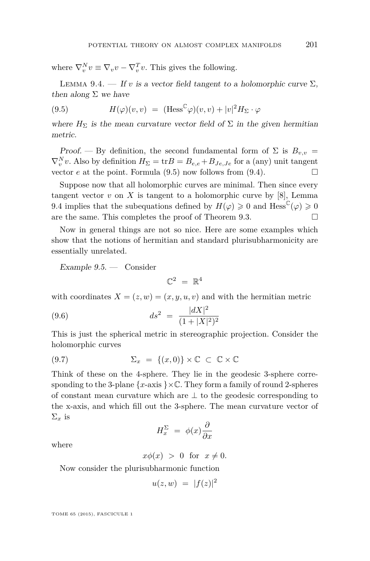<span id="page-31-0"></span>where  $\nabla_v^N v \equiv \nabla_v v - \nabla_v^T v$ . This gives the following.

LEMMA 9.4. — If *v* is a vector field tangent to a holomorphic curve  $\Sigma$ , then along  $\Sigma$  we have

(9.5) 
$$
H(\varphi)(v,v) = (\text{Hess}^{\mathbb{C}} \varphi)(v,v) + |v|^2 H_{\Sigma} \cdot \varphi
$$

where  $H_{\Sigma}$  is the mean curvature vector field of  $\Sigma$  in the given hermitian metric.

Proof. — By definition, the second fundamental form of  $\Sigma$  is  $B_{v,v}$  =  $\nabla_v^N v$ . Also by definition  $H_{\Sigma} = \text{tr}B = B_{e,e} + B_{Je,Je}$  for a (any) unit tangent vector *e* at the point. Formula (9.5) now follows from [\(9.4\)](#page-30-0).

Suppose now that all holomorphic curves are minimal. Then since every tangent vector  $v$  on  $X$  is tangent to a holomorphic curve by  $[8]$ , Lemma 9.4 implies that the subequations defined by  $H(\varphi) \geq 0$  and  $\text{Hess}^{\mathbb{C}}(\varphi) \geq 0$ are the same. This completes the proof of Theorem [9.3.](#page-30-0)  $\Box$ 

Now in general things are not so nice. Here are some examples which show that the notions of hermitian and standard plurisubharmonicity are essentially unrelated.

Example 9.5. — Consider

$$
\mathbb{C}^2~=~\mathbb{R}^4
$$

with coordinates  $X = (z, w) = (x, y, u, v)$  and with the hermitian metric

(9.6) 
$$
ds^2 = \frac{|dX|^2}{(1+|X|^2)^2}
$$

This is just the spherical metric in stereographic projection. Consider the holomorphic curves

(9.7) 
$$
\Sigma_x = \{(x,0)\} \times \mathbb{C} \subset \mathbb{C} \times \mathbb{C}
$$

Think of these on the 4-sphere. They lie in the geodesic 3-sphere corresponding to the 3-plane  $\{x\text{-axis }\}\times\mathbb{C}$ . They form a family of round 2-spheres of constant mean curvature which are ⊥ to the geodesic corresponding to the x-axis, and which fill out the 3-sphere. The mean curvature vector of  $\Sigma_x$  is

$$
H_x^{\Sigma} = \phi(x) \frac{\partial}{\partial x}
$$

where

 $x\phi(x) > 0$  for  $x \neq 0$ .

Now consider the plurisubharmonic function

$$
u(z, w) = |f(z)|^2
$$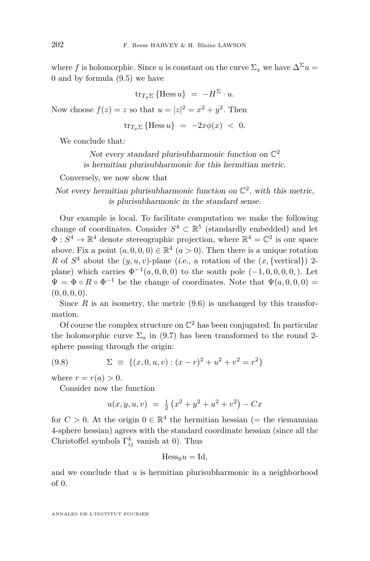where *f* is holomorphic. Since *u* is constant on the curve  $\Sigma_x$  we have  $\Delta^{\Sigma} u =$ 0 and by formula [\(9.5\)](#page-31-0) we have

$$
\operatorname{tr}_{T_p\Sigma} \left\{\text{Hess}\,u\right\} \;=\; -H^\Sigma\cdot u.
$$

Now choose  $f(z) = z$  so that  $u = |z|^2 = x^2 + y^2$ . Then

$$
\operatorname{tr}_{T_p\Sigma}\left\{\operatorname{Hess} u\right\} ~=~ -2x\phi(x) ~<~ 0.
$$

We conclude that:

Not every standard plurisubharmonic function on  $\mathbb{C}^2$ is hermitian plurisubharmonic for this hermitian metric.

Conversely, we now show that

Not every hermitian plurisubharmonic function on  $\mathbb{C}^2$ , with this metric, is plurisubharmonic in the standard sense.

Our example is local. To facilitate computation we make the following change of coordinates. Consider  $S^4 \subset \mathbb{R}^5$  (standardly embedded) and let  $\Phi: S^4 \to \mathbb{R}^4$  denote stereographic projection, where  $\mathbb{R}^4 = \mathbb{C}^2$  is our space above. Fix a point  $(a, 0, 0, 0) \in \mathbb{R}^4$   $(a > 0)$ . Then there is a unique rotation *R* of  $S^4$  about the  $(y, u, v)$ -plane (*i.e.*, a rotation of the  $(x, \{vertical\})$  2plane) which carries  $\Phi^{-1}(a, 0, 0, 0)$  to the south pole  $(-1, 0, 0, 0, 0)$ . Let  $\Psi = \Phi \circ R \circ \Phi^{-1}$  be the change of coordinates. Note that  $\Psi(a,0,0,0) =$  $(0, 0, 0, 0)$ .

Since  $R$  is an isometry, the metric  $(9.6)$  is unchanged by this transformation.

Of course the complex structure on  $\mathbb{C}^2$  has been conjugated. In particular the holomorphic curve  $\Sigma_a$  in (9.7) has been transformed to the round 2sphere passing through the origin:

(9.8) 
$$
\Sigma \equiv \{(x, 0, u, v) : (x - r)^2 + u^2 + v^2 = r^2\}
$$

where  $r = r(a) > 0$ .

Consider now the function

$$
u(x, y, u, v) = \frac{1}{2} (x^2 + y^2 + u^2 + v^2) - Cx
$$

for  $C > 0$ . At the origin  $0 \in \mathbb{R}^4$  the hermitian hessian (= the riemannian 4-sphere hessian) agrees with the standard coordinate hessian (since all the Christoffel symbols  $\Gamma_{ij}^k$  vanish at 0). Thus

$$
Hess_0 u = Id,
$$

and we conclude that *u* is hermitian plurisubharmonic in a neighborhood of 0.

ANNALES DE L'INSTITUT FOURIER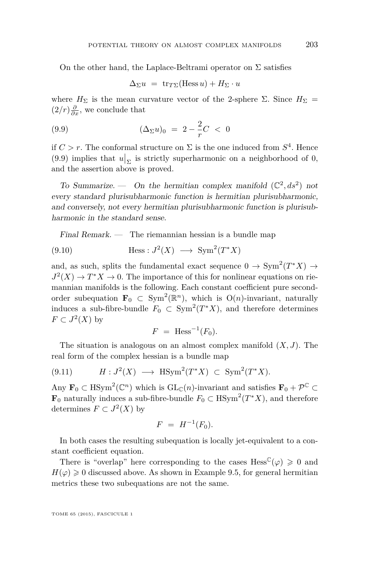<span id="page-33-0"></span>On the other hand, the Laplace-Beltrami operator on  $\Sigma$  satisfies

$$
\Delta_{\Sigma} u = \operatorname{tr}_{T\Sigma}(\operatorname{Hess} u) + H_{\Sigma} \cdot u
$$

where  $H_{\Sigma}$  is the mean curvature vector of the 2-sphere  $\Sigma$ . Since  $H_{\Sigma}$  =  $(2/r)\frac{\partial}{\partial x}$ , we conclude that

(9.9) 
$$
(\Delta_{\Sigma} u)_0 = 2 - \frac{2}{r}C < 0
$$

if  $C > r$ . The conformal structure on  $\Sigma$  is the one induced from  $S<sup>4</sup>$ . Hence  $(9.9)$  implies that  $u|_{\Sigma}$  is strictly superharmonic on a neighborhood of 0, and the assertion above is proved.

To Summarize. — On the hermitian complex manifold  $(\mathbb{C}^2, ds^2)$  not every standard plurisubharmonic function is hermitian plurisubharmonic, and conversely, not every hermitian plurisubharmonic function is plurisubharmonic in the standard sense.

Final Remark. — The riemannian hessian is a bundle map

(9.10) 
$$
\text{Hess}: J^2(X) \longrightarrow \text{Sym}^2(T^*X)
$$

and, as such, splits the fundamental exact sequence  $0 \to \text{Sym}^2(T^*X) \to$  $J^2(X) \to T^*X \to 0$ . The importance of this for nonlinear equations on riemannian manifolds is the following. Each constant coefficient pure secondorder subequation  $\mathbf{F}_0 \subset \text{Sym}^2(\mathbb{R}^n)$ , which is  $O(n)$ -invariant, naturally induces a sub-fibre-bundle  $F_0 \subset \text{Sym}^2(T^*X)$ , and therefore determines  $F \subset J^2(X)$  by

$$
F = \text{Hess}^{-1}(F_0).
$$

The situation is analogous on an almost complex manifold  $(X, J)$ . The real form of the complex hessian is a bundle map

$$
(9.11) \tH: J^2(X) \longrightarrow \text{HSym}^2(T^*X) \subset \text{Sym}^2(T^*X).
$$

Any  $\mathbf{F}_0 \subset \text{HSym}^2(\mathbb{C}^n)$  which is  $\text{GL}_{\mathbb{C}}(n)$ -invariant and satisfies  $\mathbf{F}_0 + \mathcal{P}^{\mathbb{C}} \subset$ **F**<sub>0</sub> naturally induces a sub-fibre-bundle  $F_0$  ⊂ HSym<sup>2</sup>( $T^*X$ ), and therefore determines  $F \subset J^2(X)$  by

$$
F = H^{-1}(F_0).
$$

In both cases the resulting subequation is locally jet-equivalent to a constant coefficient equation.

There is "overlap" here corresponding to the cases  $Hess^{\mathbb{C}}(\varphi) \geq 0$  and  $H(\varphi) \geq 0$  discussed above. As shown in Example 9.5, for general hermitian metrics these two subequations are not the same.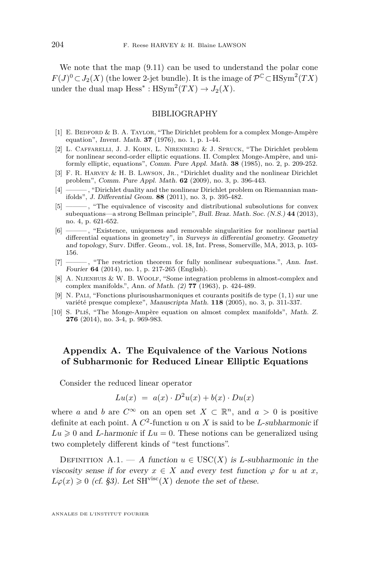<span id="page-34-0"></span>We note that the map  $(9.11)$  can be used to understand the polar cone *F*(*J*)<sup>0</sup> ⊂ *J*<sub>2</sub>(*X*) (the lower 2-jet bundle). It is the image of  $\mathcal{P}^{\mathbb{C}}$  ⊂ HSym<sup>2</sup>(*TX*) under the dual map  $Hess^* : HSym^2(TX) \to J_2(X)$ .

#### BIBLIOGRAPHY

- [1] E. BEDFORD & B. A. TAYLOR, "The Dirichlet problem for a complex Monge-Ampère equation", Invent. Math. **37** (1976), no. 1, p. 1-44.
- [2] L. Caffarelli, J. J. Kohn, L. Nirenberg & J. Spruck, "The Dirichlet problem for nonlinear second-order elliptic equations. II. Complex Monge-Ampère, and uniformly elliptic, equations", Comm. Pure Appl. Math. **38** (1985), no. 2, p. 209-252.
- [3] F. R. HARVEY & H. B. LAWSON, JR., "Dirichlet duality and the nonlinear Dirichlet problem", Comm. Pure Appl. Math. **62** (2009), no. 3, p. 396-443.
- [4] ——— , "Dirichlet duality and the nonlinear Dirichlet problem on Riemannian manifolds", J. Differential Geom. **88** (2011), no. 3, p. 395-482.
- [5] ——— , "The equivalence of viscosity and distributional subsolutions for convex subequations—a strong Bellman principle", Bull. Braz. Math. Soc. (N.S.) **44** (2013), no. 4, p. 621-652.
- [6] ——— , "Existence, uniqueness and removable singularities for nonlinear partial differential equations in geometry", in Surveys in differential geometry. Geometry and topology, Surv. Differ. Geom., vol. 18, Int. Press, Somerville, MA, 2013, p. 103- 156.
- [7] ——— , "The restriction theorem for fully nonlinear subequations.", Ann. Inst. Fourier **64** (2014), no. 1, p. 217-265 (English).
- [8] A. Nijenhuis & W. B. Woolf, "Some integration problems in almost-complex and complex manifolds.", Ann. of Math. (2) **77** (1963), p. 424-489.
- [9] N. Pali, "Fonctions plurisousharmoniques et courants positifs de type (1*,* 1) sur une variété presque complexe", Manuscripta Math. **118** (2005), no. 3, p. 311-337.
- [10] S. Pliś, "The Monge-Ampère equation on almost complex manifolds", Math. Z. **276** (2014), no. 3-4, p. 969-983.

#### **Appendix A. The Equivalence of the Various Notions of Subharmonic for Reduced Linear Elliptic Equations**

Consider the reduced linear operator

$$
Lu(x) = a(x) \cdot D^2u(x) + b(x) \cdot Du(x)
$$

where *a* and *b* are  $C^{\infty}$  on an open set  $X \subset \mathbb{R}^n$ , and  $a > 0$  is positive definite at each point. A  $C^2$ -function *u* on *X* is said to be *L*-subharmonic if  $Lu \geq 0$  and *L*-harmonic if  $Lu = 0$ . These notions can be generalized using two completely different kinds of "test functions".

DEFINITION A.1. — A function  $u \in \text{USC}(X)$  is *L*-subharmonic in the viscosity sense if for every  $x \in X$  and every test function  $\varphi$  for *u* at *x*,  $L\varphi(x) \geq 0$  (cf. §3). Let SH<sup>visc</sup>(*X*) denote the set of these.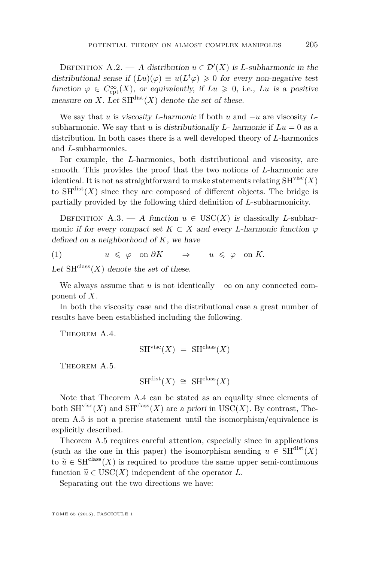<span id="page-35-0"></span>DEFINITION A.2. — A distribution  $u \in \mathcal{D}'(X)$  is *L*-subharmonic in the distributional sense if  $(Lu)(\varphi) \equiv u(L^t \varphi) \geq 0$  for every non-negative test function  $\varphi \in C_{\mathrm{cpt}}^{\infty}(X)$ , or equivalently, if  $Lu \geq 0$ , i.e., *Lu* is a positive measure on *X*. Let  $SH^{dist}(X)$  denote the set of these.

We say that *u* is viscosity *L*-harmonic if both *u* and −*u* are viscosity *L*subharmonic. We say that *u* is distributionally *L*- harmonic if  $Lu = 0$  as a distribution. In both cases there is a well developed theory of *L*-harmonics and *L*-subharmonics.

For example, the *L*-harmonics, both distributional and viscosity, are smooth. This provides the proof that the two notions of *L*-harmonic are identical. It is not as straightforward to make statements relating  $SH<sup>visc</sup>(X)$ to  $SH^{dist}(X)$  since they are composed of different objects. The bridge is partially provided by the following third definition of *L*-subharmonicity.

DEFINITION A.3. — A function  $u \in USC(X)$  is classically *L*-subharmonic if for every compact set  $K \subset X$  and every *L*-harmonic function  $\varphi$ defined on a neighborhood of *K*, we have

(1)  $u \leq \varphi \text{ on } \partial K \implies u \leq \varphi \text{ on } K.$ 

Let  $SH^{class}(X)$  denote the set of these.

We always assume that *u* is not identically  $-\infty$  on any connected component of *X*.

In both the viscosity case and the distributional case a great number of results have been established including the following.

THEOREM A.4.

$$
SHvisc(X) = SHclass(X)
$$

THEOREM A.5.

$$
SH^{\text{dist}}(X) \cong SH^{\text{class}}(X)
$$

Note that Theorem A.4 can be stated as an equality since elements of both  $SH<sup>visc</sup>(X)$  and  $SH<sup>class</sup>(X)$  are a priori in USC(X). By contrast, Theorem A.5 is not a precise statement until the isomorphism/equivalence is explicitly described.

Theorem A.5 requires careful attention, especially since in applications (such as the one in this paper) the isomorphism sending  $u \in \text{SH}^{\text{dist}}(X)$ to  $\tilde{u} \in \text{SH}^{\text{class}}(X)$  is required to produce the same upper semi-continuous function  $\tilde{u} \in \text{USC}(X)$  independent of the operator *L*.

Separating out the two directions we have: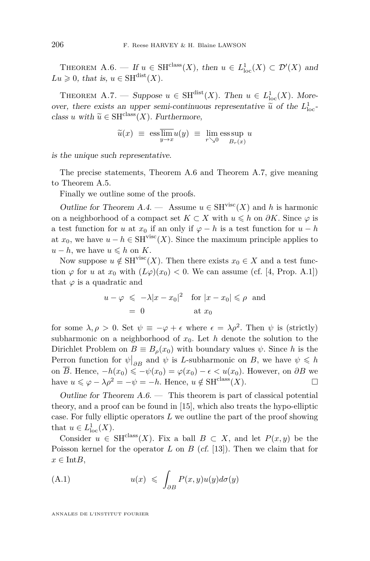<span id="page-36-0"></span>THEOREM A.6. — If  $u \in SH^{class}(X)$ , then  $u \in L^1_{loc}(X) \subset \mathcal{D}'(X)$  and  $Lu \geq 0$ , that is,  $u \in \text{SH}^{\text{dist}}(X)$ .

THEOREM A.7. — Suppose  $u \in \text{SH}^{\text{dist}}(X)$ . Then  $u \in L^1_{\text{loc}}(X)$ . Moreover, there exists an upper semi-continuous representative  $\tilde{u}$  of the  $L^{1}_{loc}$ -<br>class  $u$  with  $\tilde{u} \in \text{SUC}^{\text{lass}}(X)$ . Eurthamore, class *u* with  $\widetilde{u} \in \text{SH}^{\text{class}}(X)$ . Furthermore,

$$
\widetilde{u}(x) \equiv \operatorname{ess} \overline{\lim}_{y \to x} u(y) \equiv \lim_{r \searrow 0} \operatorname{ess} \sup_{B_r(x)} u
$$

is the unique such representative.

The precise statements, Theorem A.6 and Theorem A.7, give meaning to Theorem [A.5.](#page-35-0)

Finally we outline some of the proofs.

Outline for Theorem [A.4.](#page-35-0) — Assume  $u \in SH<sup>visc</sup>(X)$  and h is harmonic on a neighborhood of a compact set  $K \subset X$  with  $u \leq h$  on  $\partial K$ . Since  $\varphi$  is a test function for *u* at  $x_0$  if an only if  $\varphi - h$  is a test function for  $u - h$ at  $x_0$ , we have  $u - h \in \text{SH}^{\text{visc}}(X)$ . Since the maximum principle applies to  $u - h$ , we have  $u \leq h$  on *K*.

Now suppose  $u \notin SH^{visc}(X)$ . Then there exists  $x_0 \in X$  and a test function  $\varphi$  for *u* at  $x_0$  with  $(L\varphi)(x_0) < 0$ . We can assume (cf. [\[4,](#page-34-0) Prop. A.1]) that  $\varphi$  is a quadratic and

$$
u - \varphi \le -\lambda |x - x_0|^2 \quad \text{for } |x - x_0| \le \rho \text{ and}
$$
  
= 0 \quad \text{at } x\_0

for some  $\lambda, \rho > 0$ . Set  $\psi \equiv -\varphi + \epsilon$  where  $\epsilon = \lambda \rho^2$ . Then  $\psi$  is (strictly) subharmonic on a neighborhood of  $x_0$ . Let *h* denote the solution to the Dirichlet Problem on  $B \equiv B_\rho(x_0)$  with boundary values  $\psi$ . Since *h* is the Perron function for  $\psi|_{\partial B}$  and  $\psi$  is *L*-subharmonic on *B*, we have  $\psi \leq h$ on  $\overline{B}$ . Hence,  $-h(x_0) \leqslant -\psi(x_0) = \varphi(x_0) - \epsilon < u(x_0)$ . However, on  $\partial B$  we have  $u \le \varphi - \lambda \rho^2 = -\psi = -h$ . Hence,  $u \notin SH^{\text{class}}(X)$ .

Outline for Theorem  $A.\6.$  — This theorem is part of classical potential theory, and a proof can be found in [\[15\]](#page-39-0), which also treats the hypo-elliptic case. For fully elliptic operators *L* we outline the part of the proof showing that  $u \in L^1_{loc}(X)$ .

Consider  $u \in SH^{class}(X)$ . Fix a ball  $B \subset X$ , and let  $P(x, y)$  be the Poisson kernel for the operator *L* on *B* (*cf.* [\[13\]](#page-39-0)). Then we claim that for  $x \in \text{Int}B$ ,

(A.1) 
$$
u(x) \leqslant \int_{\partial B} P(x, y) u(y) d\sigma(y)
$$

ANNALES DE L'INSTITUT FOURIER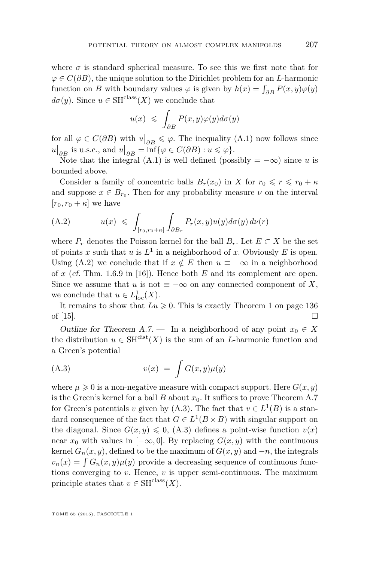<span id="page-37-0"></span>where  $\sigma$  is standard spherical measure. To see this we first note that for *ϕ* ∈ *C*(*∂B*), the unique solution to the Dirichlet problem for an *L*-harmonic function on *B* with boundary values  $\varphi$  is given by  $h(x) = \int_{\partial B} P(x, y) \varphi(y)$  $d\sigma(u)$ . Since  $u \in \text{SH}^{\text{class}}(X)$  we conclude that

$$
u(x) \leqslant \int_{\partial B} P(x, y) \varphi(y) d\sigma(y)
$$

for all  $\varphi \in C(\partial B)$  with  $u|_{\partial B} \leq \varphi$ . The inequality [\(A.1\)](#page-36-0) now follows since  $u|_{\partial B}$  is u.s.c., and  $u|_{\partial B} = \inf \{ \varphi \in C(\partial B) : u \leqslant \varphi \}.$ 

Note that the integral (A.1) is well defined (possibly  $= -\infty$ ) since *u* is bounded above.

Consider a family of concentric balls  $B_r(x_0)$  in *X* for  $r_0 \leq r \leq r_0 + \kappa$ and suppose  $x \in B_{r_0}$ . Then for any probability measure  $\nu$  on the interval  $[r_0, r_0 + \kappa]$  we have

(A.2) 
$$
u(x) \leqslant \int_{[r_0, r_0 + \kappa]} \int_{\partial B_r} P_r(x, y) u(y) d\sigma(y) d\nu(r)
$$

where  $P_r$  denotes the Poisson kernel for the ball  $B_r$ . Let  $E \subset X$  be the set of points x such that  $u$  is  $L^1$  in a neighborhood of x. Obviously E is open. Using (A.2) we conclude that if  $x \notin E$  then  $u \equiv -\infty$  in a neighborhood of *x* (cf. Thm. 1.6.9 in [\[16\]](#page-40-0)). Hence both *E* and its complement are open. Since we assume that *u* is not  $\equiv -\infty$  on any connected component of *X*, we conclude that  $u \in L^1_{loc}(X)$ .

It remains to show that  $Lu \geq 0$ . This is exactly Theorem 1 on page 136 of  $[15]$ .

Outline for Theorem [A.7.](#page-36-0) — In a neighborhood of any point  $x_0 \in X$ the distribution  $u \in \text{SH}^{\text{dist}}(X)$  is the sum of an *L*-harmonic function and a Green's potential

$$
(A.3) \t v(x) = \int G(x,y)\mu(y)
$$

where  $\mu \geq 0$  is a non-negative measure with compact support. Here  $G(x, y)$ is the Green's kernel for a ball  $B$  about  $x<sub>0</sub>$ . It suffices to prove Theorem [A.7](#page-36-0) for Green's potentials *v* given by  $(A.3)$ . The fact that  $v \in L^1(B)$  is a standard consequence of the fact that  $G \in L^1(B \times B)$  with singular support on the diagonal. Since  $G(x, y) \leq 0$ , (A.3) defines a point-wise function  $v(x)$ near  $x_0$  with values in  $[-\infty, 0]$ . By replacing  $G(x, y)$  with the continuous kernel  $G_n(x, y)$ , defined to be the maximum of  $G(x, y)$  and  $-n$ , the integrals  $v_n(x) = \int G_n(x, y) \mu(y)$  provide a decreasing sequence of continuous functions converging to *v*. Hence, *v* is upper semi-continuous. The maximum principle states that  $v \in \text{SH}^{\text{class}}(X)$ .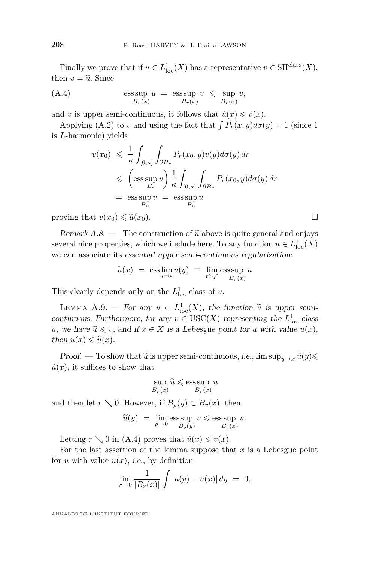Finally we prove that if  $u \in L^1_{loc}(X)$  has a representative  $v \in \text{SH}^{\text{class}}(X)$ , then  $v = \tilde{u}$ . Since

(A.4) 
$$
\operatorname{ess\,sup}_{B_r(x)} u = \operatorname{ess\,sup}_{B_r(x)} v \leq \sup_{B_r(x)} v,
$$

and *v* is upper semi-continuous, it follows that  $\tilde{u}(x) \leq v(x)$ .

Applying [\(A.2\)](#page-37-0) to *v* and using the fact that  $\int P_r(x, y)d\sigma(y) = 1$  (since 1) is *L*-harmonic) yields

$$
v(x_0) \leq \frac{1}{\kappa} \int_{[0,\kappa]} \int_{\partial B_r} P_r(x_0, y) v(y) d\sigma(y) dr
$$
  
\n
$$
\leq \left( \underset{B_\kappa}{\text{ess sup}} v \right) \frac{1}{\kappa} \int_{[0,\kappa]} \int_{\partial B_r} P_r(x_0, y) d\sigma(y) dr
$$
  
\n
$$
= \underset{B_\kappa}{\text{ess sup}} v = \underset{B_\kappa}{\text{ess sup}} u
$$

proving that  $v(x_0) \leq \tilde{u}(x_0)$ .

Remark  $A.8.$  — The construction of  $\tilde{u}$  above is quite general and enjoys several nice properties, which we include here. To any function  $u \in L^1_{loc}(X)$ we can associate its essential upper semi-continuous regularization:

$$
\widetilde{u}(x) = \operatorname{ess} \overline{\lim}_{y \to x} u(y) \equiv \lim_{r \searrow 0} \operatorname{ess} \sup_{B_r(x)} u
$$

This clearly depends only on the  $L<sup>1</sup><sub>loc</sub>$ -class of *u*.

LEMMA A.9. — For any  $u \in L^1_{loc}(X)$ , the function  $\tilde{u}$  is upper semi-<br>ntinuous Eurkhamons for any  $u \in \text{LISC}(X)$  parametrize the  $L^1$  share continuous. Furthermore, for any  $v \in \text{USC}(X)$  representing the  $L^1_{\text{loc}}$ -class *u*, we have  $\tilde{u} \leq v$ , and if  $x \in X$  is a Lebesgue point for *u* with value  $u(x)$ , then  $u(x) \leq \tilde{u}(x)$ .

Proof. — To show that  $\tilde{u}$  is upper semi-continuous, *i.e.*,  $\limsup_{y\to x} \tilde{u}(y)$  $\tilde{u}(x)$ , it suffices to show that

$$
\sup_{B_r(x)} \widetilde{u} \leqslant \operatorname{ess} \sup_{B_r(x)} u
$$

and then let  $r \searrow 0$ . However, if  $B_{\rho}(y) \subset B_{r}(x)$ , then

$$
\widetilde{u}(y) = \lim_{\rho \to 0} \underset{B_{\rho}(y)}{\text{ess sup}} u \leqslant \underset{B_r(x)}{\text{ess sup}} u.
$$

Letting  $r \searrow 0$  in (A.4) proves that  $\tilde{u}(x) \leq v(x)$ .

For the last assertion of the lemma suppose that *x* is a Lebesgue point for *u* with value  $u(x)$ , *i.e.*, by definition

$$
\lim_{r \to 0} \frac{1}{|B_r(x)|} \int |u(y) - u(x)| \, dy = 0,
$$

ANNALES DE L'INSTITUT FOURIER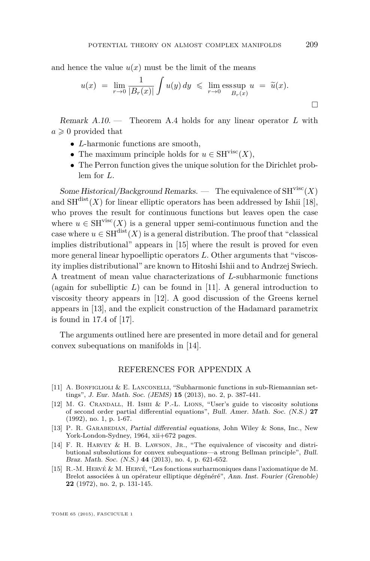<span id="page-39-0"></span>and hence the value  $u(x)$  must be the limit of the means

$$
u(x) = \lim_{r \to 0} \frac{1}{|B_r(x)|} \int u(y) dy \le \lim_{r \to 0} \underset{B_r(x)}{\text{ess sup }} u = \tilde{u}(x).
$$

Remark A.10. — Theorem [A.4](#page-35-0) holds for any linear operator *L* with  $a \geqslant 0$  provided that

- *L*-harmonic functions are smooth,
- The maximum principle holds for  $u \in SH^{visc}(X)$ ,
- The Perron function gives the unique solution for the Dirichlet problem for *L*.

Some Historical/Background Remarks. — The equivalence of  $SH<sup>visc</sup>(X)$ and  $SH<sup>dist</sup>(X)$  for linear elliptic operators has been addressed by Ishii [\[18\]](#page-40-0), who proves the result for continuous functions but leaves open the case where  $u \in \mathrm{SH}^{\mathrm{visc}}(X)$  is a general upper semi-continuous function and the case where  $u \in \mathrm{SH}^{\mathrm{dist}}(X)$  is a general distribution. The proof that "classical" implies distributional" appears in [15] where the result is proved for even more general linear hypoelliptic operators *L*. Other arguments that "viscosity implies distributional" are known to Hitoshi Ishii and to Andrzej Swiech. A treatment of mean value characterizations of *L*-subharmonic functions (again for subelliptic  $L$ ) can be found in [11]. A general introduction to viscosity theory appears in [12]. A good discussion of the Greens kernel appears in [13], and the explicit construction of the Hadamard parametrix is found in 17.4 of [\[17\]](#page-40-0).

The arguments outlined here are presented in more detail and for general convex subequations on manifolds in [14].

#### REFERENCES FOR APPENDIX A

- [11] A. BONFIGLIOLI & E. LANCONELLI, "Subharmonic functions in sub-Riemannian settings", J. Eur. Math. Soc. (JEMS) **15** (2013), no. 2, p. 387-441.
- [12] M. G. Crandall, H. Ishii & P.-L. Lions, "User's guide to viscosity solutions of second order partial differential equations", Bull. Amer. Math. Soc. (N.S.) **27** (1992), no. 1, p. 1-67.
- [13] P. R. GARABEDIAN, Partial differential equations, John Wiley & Sons, Inc., New York-London-Sydney, 1964, xii+672 pages.
- [14] F. R. HARVEY & H. B. LAWSON, JR., "The equivalence of viscosity and distributional subsolutions for convex subequations—a strong Bellman principle", Bull. Braz. Math. Soc. (N.S.) **44** (2013), no. 4, p. 621-652.
- [15] R.-M. Hervé & M. Hervé, "Les fonctions surharmoniques dans l'axiomatique de M. Brelot associées à un opérateur elliptique dégénéré", Ann. Inst. Fourier (Grenoble) **22** (1972), no. 2, p. 131-145.